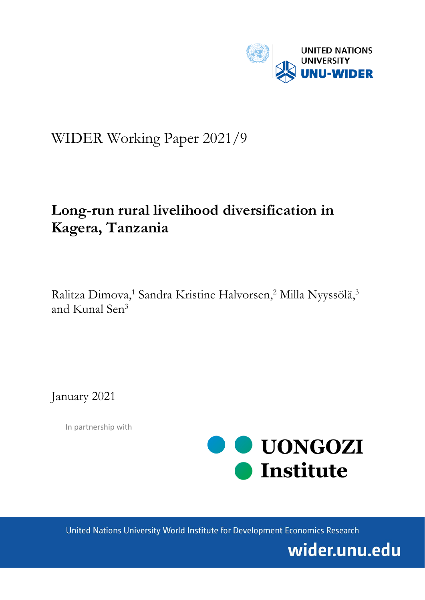

# WIDER Working Paper 2021/9

# **Long-run rural livelihood diversification in Kagera, Tanzania**

Ralitza Dimova,<sup>1</sup> Sandra Kristine Halvorsen,<sup>2</sup> Milla Nyyssölä,<sup>3</sup> and Kunal Sen3

January 2021

In partnership with



United Nations University World Institute for Development Economics Research

wider.unu.edu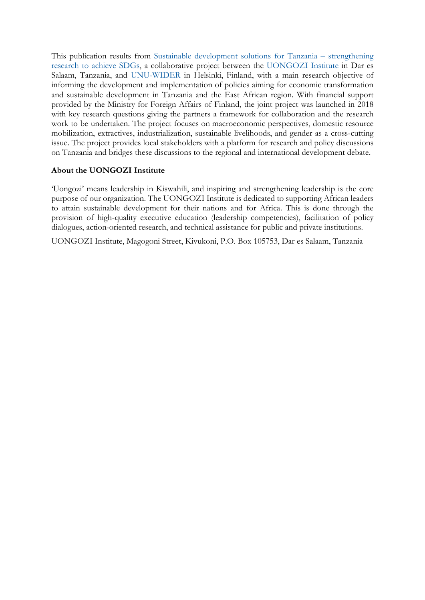This publication results from [Sustainable development solutions for Tanzania –](https://www.wider.unu.edu/project/sustainable-development-solutions-tanzania-strengthening-research-achieve-sdgs) strengthening [research to achieve SDGs,](https://www.wider.unu.edu/project/sustainable-development-solutions-tanzania-strengthening-research-achieve-sdgs) a collaborative project between the [UONGOZI](http://uongozi.or.tz/) Institute in Dar es Salaam, Tanzania, and [UNU-WIDER](https://www.wider.unu.edu/) in Helsinki, Finland, with a main research objective of informing the development and implementation of policies aiming for economic transformation and sustainable development in Tanzania and the East African region. With financial support provided by the Ministry for Foreign Affairs of Finland, the joint project was launched in 2018 with key research questions giving the partners a framework for collaboration and the research work to be undertaken. The project focuses on macroeconomic perspectives, domestic resource mobilization, extractives, industrialization, sustainable livelihoods, and gender as a cross-cutting issue. The project provides local stakeholders with a platform for research and policy discussions on Tanzania and bridges these discussions to the regional and international development debate.

# **About the UONGOZI Institute**

'Uongozi' means leadership in Kiswahili, and inspiring and strengthening leadership is the core purpose of our organization. The UONGOZI Institute is dedicated to supporting African leaders to attain sustainable development for their nations and for Africa. This is done through the provision of high-quality executive education (leadership competencies), facilitation of policy dialogues, action-oriented research, and technical assistance for public and private institutions.

UONGOZI Institute, Magogoni Street, Kivukoni, P.O. Box 105753, Dar es Salaam, Tanzania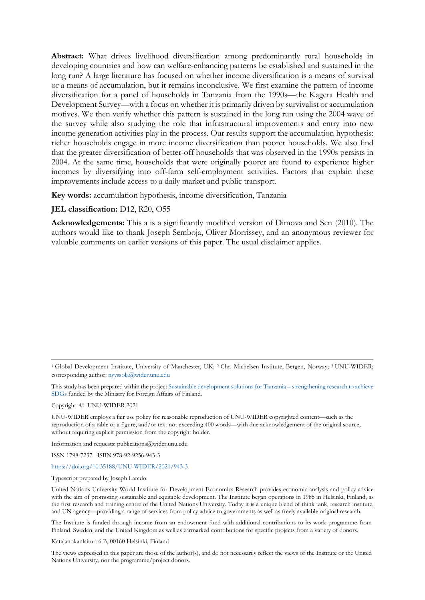**Abstract:** What drives livelihood diversification among predominantly rural households in developing countries and how can welfare-enhancing patterns be established and sustained in the long run? A large literature has focused on whether income diversification is a means of survival or a means of accumulation, but it remains inconclusive. We first examine the pattern of income diversification for a panel of households in Tanzania from the 1990s—the Kagera Health and Development Survey—with a focus on whether it is primarily driven by survivalist or accumulation motives. We then verify whether this pattern is sustained in the long run using the 2004 wave of the survey while also studying the role that infrastructural improvements and entry into new income generation activities play in the process. Our results support the accumulation hypothesis: richer households engage in more income diversification than poorer households. We also find that the greater diversification of better-off households that was observed in the 1990s persists in 2004. At the same time, households that were originally poorer are found to experience higher incomes by diversifying into off-farm self-employment activities. Factors that explain these improvements include access to a daily market and public transport.

**Key words:** accumulation hypothesis, income diversification, Tanzania

## **JEL classification:** D12, R20, O55

**Acknowledgements:** This a is a significantly modified version of Dimova and Sen (2010). The authors would like to thank Joseph Semboja, Oliver Morrissey, and an anonymous reviewer for valuable comments on earlier versions of this paper. The usual disclaimer applies.

Copyright © UNU-WIDER 2021

UNU-WIDER emplo[ys a fair use policy for rea](mailto:nyyssola@wider.unu.edu)[sonable reproduction of UNU-WIDER copyrighted content—such as the](https://www.wider.unu.edu/node/202701)  reproduction of a table or a figure, and/or text not exceeding 400 words—with due acknowledgement of the original source, [withou](https://www.wider.unu.edu/node/202701)t requiring explicit permission from the copyright holder.

Information and requests: publications@wider.unu.edu

ISSN 1798-7237 ISBN 978-92-9256-943-3

https://doi.org/10.35188/UNU-WIDER/2021/943-3

#### [Typescript prepared by](https://doi.org/10.35188/UNU-WIDER/2021/943-3) Joseph Laredo.

United Nations University World Institute for Development Economics Research provides economic analysis and policy advice with the aim of promoting sustainable and equitable development. The Institute began operations in 1985 in Helsinki, Finland, as the first research and training centre of the United Nations University. Today it is a unique blend of think tank, research institute, and UN agency—providing a range of services from policy advice to governments as well as freely available original research.

The Institute is funded through income from an endowment fund with additional contributions to its work programme from Finland, Sweden, and the United Kingdom as well as earmarked contributions for specific projects from a variety of donors.

Katajanokanlaituri 6 B, 00160 Helsinki, Finland

The views expressed in this paper are those of the author(s), and do not necessarily reflect the views of the Institute or the United Nations University, nor the programme/project donors.

<sup>&</sup>lt;sup>1</sup> Global Development Institute, University of Manchester, UK; <sup>2</sup> Chr. Michelsen Institute, Bergen, Norway; <sup>3</sup> UNU-WIDER; corresponding author: nyyssola@wider.unu.edu

This study has been prepared within the project Sustainable development solutions for Tanzania – strengthening research to achieve SDGs funded by the Ministry for Foreign Affairs of Finland.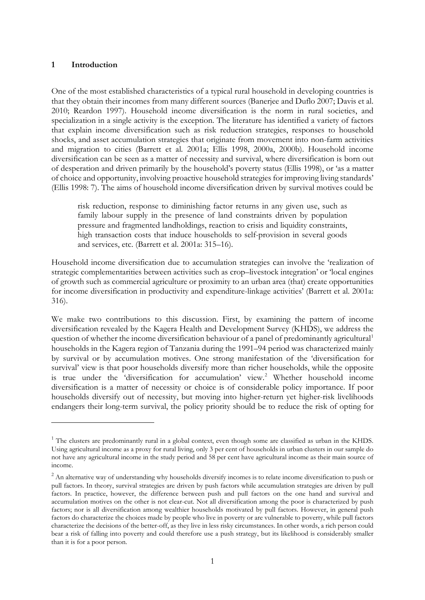## **1 Introduction**

One of the most established characteristics of a typical rural household in developing countries is that they obtain their incomes from many different sources (Banerjee and Duflo 2007; Davis et al. 2010; Reardon 1997). Household income diversification is the norm in rural societies, and specialization in a single activity is the exception. The literature has identified a variety of factors that explain income diversification such as risk reduction strategies, responses to household shocks, and asset accumulation strategies that originate from movement into non-farm activities and migration to cities (Barrett et al. 2001a; Ellis 1998, 2000a, 2000b). Household income diversification can be seen as a matter of necessity and survival, where diversification is born out of desperation and driven primarily by the household's poverty status (Ellis 1998), or 'as a matter of choice and opportunity, involving proactive household strategies for improving living standards' (Ellis 1998: 7). The aims of household income diversification driven by survival motives could be

risk reduction, response to diminishing factor returns in any given use, such as family labour supply in the presence of land constraints driven by population pressure and fragmented landholdings, reaction to crisis and liquidity constraints, high transaction costs that induce households to self-provision in several goods and services, etc. (Barrett et al. 2001a: 315–16).

Household income diversification due to accumulation strategies can involve the 'realization of strategic complementarities between activities such as crop–livestock integration' or 'local engines of growth such as commercial agriculture or proximity to an urban area (that) create opportunities for income diversification in productivity and expenditure-linkage activities' (Barrett et al. 2001a: 316).

We make two contributions to this discussion. First, by examining the pattern of income diversification revealed by the Kagera Health and Development Survey (KHDS), we address the question of whether the income diversification behaviour of a panel of predominantly agricultural<sup>[1](#page-3-0)</sup> households in the Kagera region of Tanzania during the 1991–94 period was characterized mainly by survival or by accumulation motives. One strong manifestation of the 'diversification for survival' view is that poor households diversify more than richer households, while the opposite is true under the 'diversification for accumulation' view.<sup>[2](#page-3-1)</sup> Whether household income diversification is a matter of necessity or choice is of considerable policy importance. If poor households diversify out of necessity, but moving into higher-return yet higher-risk livelihoods endangers their long-term survival, the policy priority should be to reduce the risk of opting for

<span id="page-3-0"></span><sup>&</sup>lt;sup>1</sup> The clusters are predominantly rural in a global context, even though some are classified as urban in the KHDS. Using agricultural income as a proxy for rural living, only 3 per cent of households in urban clusters in our sample do not have any agricultural income in the study period and 58 per cent have agricultural income as their main source of income.

<span id="page-3-1"></span><sup>&</sup>lt;sup>2</sup> An alternative way of understanding why households diversify incomes is to relate income diversification to push or pull factors. In theory, survival strategies are driven by push factors while accumulation strategies are driven by pull factors. In practice, however, the difference between push and pull factors on the one hand and survival and accumulation motives on the other is not clear-cut. Not all diversification among the poor is characterized by push factors; nor is all diversification among wealthier households motivated by pull factors. However, in general push factors do characterize the choices made by people who live in poverty or are vulnerable to poverty, while pull factors characterize the decisions of the better-off, as they live in less risky circumstances. In other words, a rich person could bear a risk of falling into poverty and could therefore use a push strategy, but its likelihood is considerably smaller than it is for a poor person.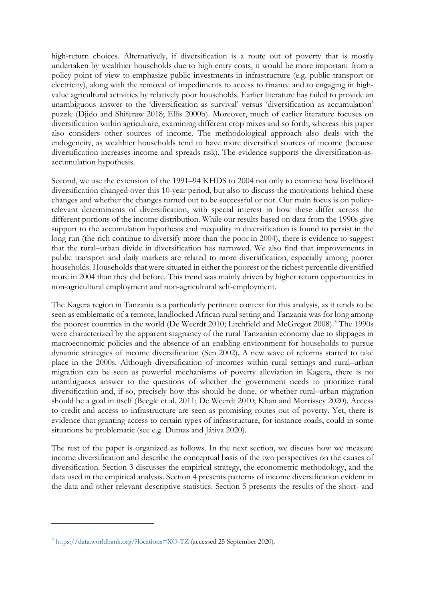high-return choices. Alternatively, if diversification is a route out of poverty that is mostly undertaken by wealthier households due to high entry costs, it would be more important from a policy point of view to emphasize public investments in infrastructure (e.g. public transport or electricity), along with the removal of impediments to access to finance and to engaging in highvalue agricultural activities by relatively poor households. Earlier literature has failed to provide an unambiguous answer to the 'diversification as survival' versus 'diversification as accumulation' puzzle (Djido and Shiferaw 2018; Ellis 2000b). Moreover, much of earlier literature focuses on diversification within agriculture, examining different crop mixes and so forth, whereas this paper also considers other sources of income. The methodological approach also deals with the endogeneity, as wealthier households tend to have more diversified sources of income (because diversification increases income and spreads risk). The evidence supports the diversification-asaccumulation hypothesis.

Second, we use the extension of the 1991–94 KHDS to 2004 not only to examine how livelihood diversification changed over this 10-year period, but also to discuss the motivations behind these changes and whether the changes turned out to be successful or not. Our main focus is on policyrelevant determinants of diversification, with special interest in how these differ across the different portions of the income distribution. While our results based on data from the 1990s give support to the accumulation hypothesis and inequality in diversification is found to persist in the long run (the rich continue to diversify more than the poor in 2004), there is evidence to suggest that the rural–urban divide in diversification has narrowed. We also find that improvements in public transport and daily markets are related to more diversification, especially among poorer households. Households that were situated in either the poorest or the richest percentile diversified more in 2004 than they did before. This trend was mainly driven by higher return opportunities in non-agricultural employment and non-agricultural self-employment.

The Kagera region in Tanzania is a particularly pertinent context for this analysis, as it tends to be seen as emblematic of a remote, landlocked African rural setting and Tanzania was for long among the poorest countries in the world (De Weerdt 2010; Litchfield and McGregor 2008).<sup>[3](#page-4-0)</sup> The 1990s were characterized by the apparent stagnancy of the rural Tanzanian economy due to slippages in macroeconomic policies and the absence of an enabling environment for households to pursue dynamic strategies of income diversification (Sen 2002). A new wave of reforms started to take place in the 2000s. Although diversification of incomes within rural settings and rural–urban migration can be seen as powerful mechanisms of poverty alleviation in Kagera, there is no unambiguous answer to the questions of whether the government needs to prioritize rural diversification and, if so, precisely how this should be done, or whether rural–urban migration should be a goal in itself (Beegle et al. 2011; De Weerdt 2010; Khan and Morrissey 2020). Access to credit and access to infrastructure are seen as promising routes out of poverty. Yet, there is evidence that granting access to certain types of infrastructure, for instance roads, could in some situations be problematic (see e.g. Dumas and Játiva 2020).

The rest of the paper is organized as follows. In the next section, we discuss how we measure income diversification and describe the conceptual basis of the two perspectives on the causes of diversification. Section 3 discusses the empirical strategy, the econometric methodology, and the data used in the empirical analysis. Section 4 presents patterns of income diversification evident in the data and other relevant descriptive statistics. Section 5 presents the results of the short- and

<span id="page-4-0"></span><sup>3</sup> <https://data.worldbank.org/?locations=XO-TZ> (accessed 25 September 2020).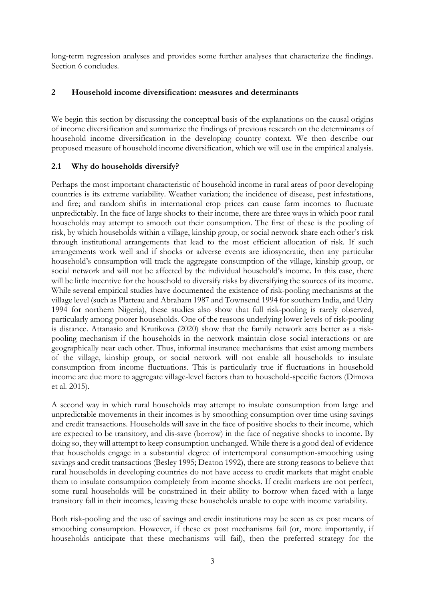long-term regression analyses and provides some further analyses that characterize the findings. Section 6 concludes.

# **2 Household income diversification: measures and determinants**

We begin this section by discussing the conceptual basis of the explanations on the causal origins of income diversification and summarize the findings of previous research on the determinants of household income diversification in the developing country context. We then describe our proposed measure of household income diversification, which we will use in the empirical analysis.

# **2.1 Why do households diversify?**

Perhaps the most important characteristic of household income in rural areas of poor developing countries is its extreme variability. Weather variation; the incidence of disease, pest infestations, and fire; and random shifts in international crop prices can cause farm incomes to fluctuate unpredictably. In the face of large shocks to their income, there are three ways in which poor rural households may attempt to smooth out their consumption. The first of these is the pooling of risk, by which households within a village, kinship group, or social network share each other's risk through institutional arrangements that lead to the most efficient allocation of risk. If such arrangements work well and if shocks or adverse events are idiosyncratic, then any particular household's consumption will track the aggregate consumption of the village, kinship group, or social network and will not be affected by the individual household's income. In this case, there will be little incentive for the household to diversify risks by diversifying the sources of its income. While several empirical studies have documented the existence of risk-pooling mechanisms at the village level (such as Platteau and Abraham 1987 and Townsend 1994 for southern India, and Udry 1994 for northern Nigeria), these studies also show that full risk-pooling is rarely observed, particularly among poorer households. One of the reasons underlying lower levels of risk-pooling is distance. Attanasio and Krutikova (2020) show that the family network acts better as a riskpooling mechanism if the households in the network maintain close social interactions or are geographically near each other. Thus, informal insurance mechanisms that exist among members of the village, kinship group, or social network will not enable all households to insulate consumption from income fluctuations. This is particularly true if fluctuations in household income are due more to aggregate village-level factors than to household-specific factors (Dimova et al. 2015).

A second way in which rural households may attempt to insulate consumption from large and unpredictable movements in their incomes is by smoothing consumption over time using savings and credit transactions. Households will save in the face of positive shocks to their income, which are expected to be transitory, and dis-save (borrow) in the face of negative shocks to income. By doing so, they will attempt to keep consumption unchanged. While there is a good deal of evidence that households engage in a substantial degree of intertemporal consumption-smoothing using savings and credit transactions (Besley 1995; Deaton 1992), there are strong reasons to believe that rural households in developing countries do not have access to credit markets that might enable them to insulate consumption completely from income shocks. If credit markets are not perfect, some rural households will be constrained in their ability to borrow when faced with a large transitory fall in their incomes, leaving these households unable to cope with income variability.

Both risk-pooling and the use of savings and credit institutions may be seen as ex post means of smoothing consumption. However, if these ex post mechanisms fail (or, more importantly, if households anticipate that these mechanisms will fail), then the preferred strategy for the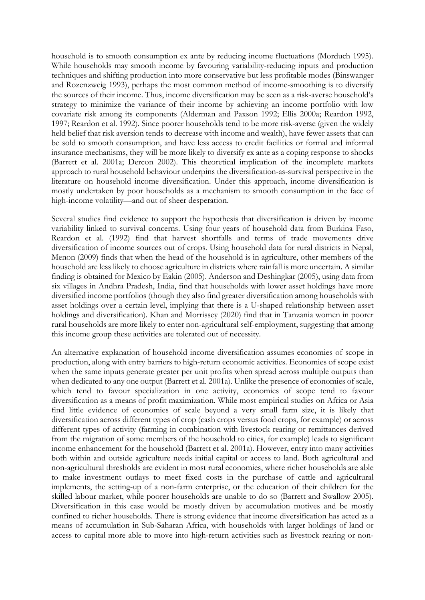household is to smooth consumption ex ante by reducing income fluctuations (Morduch 1995). While households may smooth income by favouring variability-reducing inputs and production techniques and shifting production into more conservative but less profitable modes (Binswanger and Rozenzweig 1993), perhaps the most common method of income-smoothing is to diversify the sources of their income. Thus, income diversification may be seen as a risk-averse household's strategy to minimize the variance of their income by achieving an income portfolio with low covariate risk among its components (Alderman and Paxson 1992; Ellis 2000a; Reardon 1992, 1997; Reardon et al. 1992). Since poorer households tend to be more risk-averse (given the widely held belief that risk aversion tends to decrease with income and wealth), have fewer assets that can be sold to smooth consumption, and have less access to credit facilities or formal and informal insurance mechanisms, they will be more likely to diversify ex ante as a coping response to shocks (Barrett et al. 2001a; Dercon 2002). This theoretical implication of the incomplete markets approach to rural household behaviour underpins the diversification-as-survival perspective in the literature on household income diversification. Under this approach, income diversification is mostly undertaken by poor households as a mechanism to smooth consumption in the face of high-income volatility—and out of sheer desperation.

Several studies find evidence to support the hypothesis that diversification is driven by income variability linked to survival concerns. Using four years of household data from Burkina Faso, Reardon et al. (1992) find that harvest shortfalls and terms of trade movements drive diversification of income sources out of crops. Using household data for rural districts in Nepal, Menon (2009) finds that when the head of the household is in agriculture, other members of the household are less likely to choose agriculture in districts where rainfall is more uncertain. A similar finding is obtained for Mexico by Eakin (2005). Anderson and Deshingkar (2005), using data from six villages in Andhra Pradesh, India, find that households with lower asset holdings have more diversified income portfolios (though they also find greater diversification among households with asset holdings over a certain level, implying that there is a U-shaped relationship between asset holdings and diversification). Khan and Morrissey (2020) find that in Tanzania women in poorer rural households are more likely to enter non-agricultural self-employment, suggesting that among this income group these activities are tolerated out of necessity.

An alternative explanation of household income diversification assumes economies of scope in production, along with entry barriers to high-return economic activities. Economies of scope exist when the same inputs generate greater per unit profits when spread across multiple outputs than when dedicated to any one output (Barrett et al. 2001a). Unlike the presence of economies of scale, which tend to favour specialization in one activity, economies of scope tend to favour diversification as a means of profit maximization. While most empirical studies on Africa or Asia find little evidence of economies of scale beyond a very small farm size, it is likely that diversification across different types of crop (cash crops versus food crops, for example) or across different types of activity (farming in combination with livestock rearing or remittances derived from the migration of some members of the household to cities, for example) leads to significant income enhancement for the household (Barrett et al. 2001a). However, entry into many activities both within and outside agriculture needs initial capital or access to land. Both agricultural and non-agricultural thresholds are evident in most rural economies, where richer households are able to make investment outlays to meet fixed costs in the purchase of cattle and agricultural implements, the setting-up of a non-farm enterprise, or the education of their children for the skilled labour market, while poorer households are unable to do so (Barrett and Swallow 2005). Diversification in this case would be mostly driven by accumulation motives and be mostly confined to richer households. There is strong evidence that income diversification has acted as a means of accumulation in Sub-Saharan Africa, with households with larger holdings of land or access to capital more able to move into high-return activities such as livestock rearing or non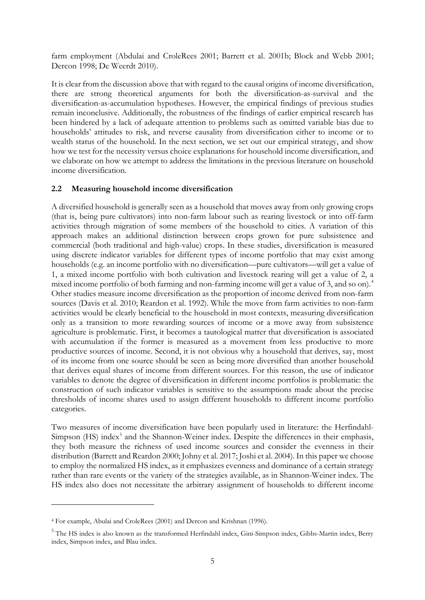farm employment (Abdulai and CroleRees 2001; Barrett et al. 2001b; Block and Webb 2001; Dercon 1998; De Weerdt 2010).

It is clear from the discussion above that with regard to the causal origins of income diversification, there are strong theoretical arguments for both the diversification-as-survival and the diversification-as-accumulation hypotheses. However, the empirical findings of previous studies remain inconclusive. Additionally, the robustness of the findings of earlier empirical research has been hindered by a lack of adequate attention to problems such as omitted variable bias due to households' attitudes to risk, and reverse causality from diversification either to income or to wealth status of the household. In the next section, we set out our empirical strategy, and show how we test for the necessity versus choice explanations for household income diversification, and we elaborate on how we attempt to address the limitations in the previous literature on household income diversification.

# **2.2 Measuring household income diversification**

A diversified household is generally seen as a household that moves away from only growing crops (that is, being pure cultivators) into non-farm labour such as rearing livestock or into off-farm activities through migration of some members of the household to cities. A variation of this approach makes an additional distinction between crops grown for pure subsistence and commercial (both traditional and high-value) crops. In these studies, diversification is measured using discrete indicator variables for different types of income portfolio that may exist among households (e.g. an income portfolio with no diversification—pure cultivators—will get a value of 1, a mixed income portfolio with both cultivation and livestock rearing will get a value of 2, a mixed income portfolio of both farming and non-farming income will get a value of 3, and so on).<sup>[4](#page-7-0)</sup> Other studies measure income diversification as the proportion of income derived from non-farm sources (Davis et al. 2010; Reardon et al. 1992). While the move from farm activities to non-farm activities would be clearly beneficial to the household in most contexts, measuring diversification only as a transition to more rewarding sources of income or a move away from subsistence agriculture is problematic. First, it becomes a tautological matter that diversification is associated with accumulation if the former is measured as a movement from less productive to more productive sources of income. Second, it is not obvious why a household that derives, say, most of its income from one source should be seen as being more diversified than another household that derives equal shares of income from different sources. For this reason, the use of indicator variables to denote the degree of diversification in different income portfolios is problematic: the construction of such indicator variables is sensitive to the assumptions made about the precise thresholds of income shares used to assign different households to different income portfolio categories.

Two measures of income diversification have been popularly used in literature: the Herfindahl-Simpson (HS) index<sup>[5](#page-7-1)</sup> and the Shannon-Weiner index. Despite the differences in their emphasis, they both measure the richness of used income sources and consider the evenness in their distribution (Barrett and Reardon 2000; Johny et al. 2017; Joshi et al. 2004). In this paper we choose to employ the normalized HS index, as it emphasizes evenness and dominance of a certain strategy rather than rare events or the variety of the strategies available, as in Shannon-Weiner index. The HS index also does not necessitate the arbitrary assignment of households to different income

<span id="page-7-0"></span><sup>4</sup> For example, Abulai and CroleRees (2001) and Dercon and Krishnan (1996).

<span id="page-7-1"></span><sup>&</sup>lt;sup>5</sup> The HS index is also known as the transformed Herfindahl index, Gini-Simpson index, Gibbs-Martin index, Berry index, Simpson index, and Blau index.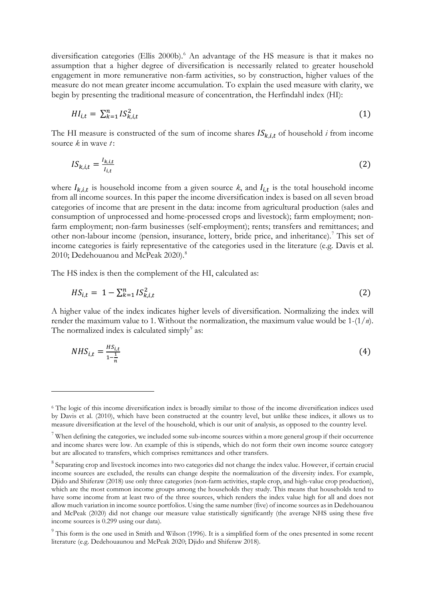diversification categories (Ellis 2000b).<sup>[6](#page-8-0)</sup> An advantage of the HS measure is that it makes no assumption that a higher degree of diversification is necessarily related to greater household engagement in more remunerative non-farm activities, so by construction, higher values of the measure do not mean greater income accumulation. To explain the used measure with clarity, we begin by presenting the traditional measure of concentration, the Herfindahl index (HI):

$$
H_{i,t} = \sum_{k=1}^{n} IS_{k,i,t}^2 \tag{1}
$$

The HI measure is constructed of the sum of income shares  $IS_{k,i,t}$  of household *i* from income source *k* in wave *t* :

$$
IS_{k,i,t} = \frac{I_{k,i,t}}{I_{i,t}}
$$
 (2)

where  $I_{k,i,t}$  is household income from a given source *k*, and  $I_{i,t}$  is the total household income from all income sources. In this paper the income diversification index is based on all seven broad categories of income that are present in the data: income from agricultural production (sales and consumption of unprocessed and home-processed crops and livestock); farm employment; nonfarm employment; non-farm businesses (self-employment); rents; transfers and remittances; and other non-labour income (pension, insurance, lottery, bride price, and inheritance). [7](#page-8-1) This set of income categories is fairly representative of the categories used in the literature (e.g. Davis et al. 2010; Dedehouanou and McPeak 2020).<sup>[8](#page-8-2)</sup>

The HS index is then the complement of the HI, calculated as:

$$
HS_{i,t} = 1 - \sum_{k=1}^{n} IS_{k,i,t}^2
$$
 (2)

A higher value of the index indicates higher levels of diversification. Normalizing the index will render the maximum value to 1. Without the normalization, the maximum value would be 1-(1/*n*). The normalized index is calculated simply $9$  as:

$$
NHS_{i,t} = \frac{HS_{i,t}}{1 - \frac{1}{n}}\tag{4}
$$

<span id="page-8-0"></span><sup>6</sup> The logic of this income diversification index is broadly similar to those of the income diversification indices used by Davis et al. (2010), which have been constructed at the country level, but unlike these indices, it allows us to measure diversification at the level of the household, which is our unit of analysis, as opposed to the country level.

<span id="page-8-1"></span> $7$  When defining the categories, we included some sub-income sources within a more general group if their occurrence and income shares were low. An example of this is stipends, which do not form their own income source category but are allocated to transfers, which comprises remittances and other transfers.

<span id="page-8-2"></span><sup>&</sup>lt;sup>8</sup> Separating crop and livestock incomes into two categories did not change the index value. However, if certain crucial income sources are excluded, the results can change despite the normalization of the diversity index. For example, Djido and Shiferaw (2018) use only three categories (non-farm activities, staple crop, and high-value crop production), which are the most common income groups among the households they study. This means that households tend to have some income from at least two of the three sources, which renders the index value high for all and does not allow much variation in income source portfolios. Using the same number (five) of income sources as in Dedehouanou and McPeak (2020) did not change our measure value statistically significantly (the average NHS using these five income sources is 0.299 using our data).

<span id="page-8-3"></span><sup>&</sup>lt;sup>9</sup> This form is the one used in Smith and Wilson (1996). It is a simplified form of the ones presented in some recent literature (e.g. Dedehouaunou and McPeak 2020; Djido and Shiferaw 2018).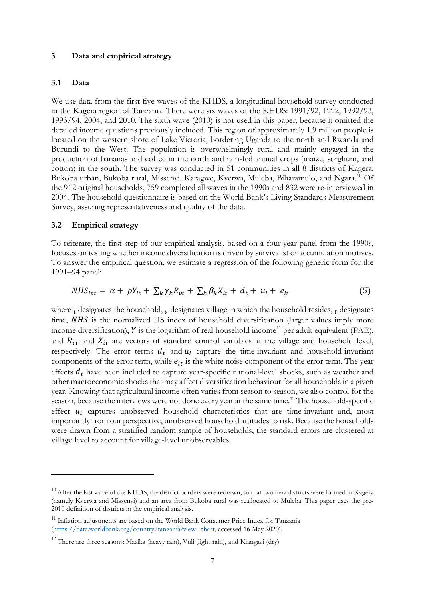## **3 Data and empirical strategy**

## **3.1 Data**

We use data from the first five waves of the KHDS, a longitudinal household survey conducted in the Kagera region of Tanzania. There were six waves of the KHDS: 1991/92, 1992, 1992/93, 1993/94, 2004, and 2010. The sixth wave (2010) is not used in this paper, because it omitted the detailed income questions previously included. This region of approximately 1.9 million people is located on the western shore of Lake Victoria, bordering Uganda to the north and Rwanda and Burundi to the West. The population is overwhelmingly rural and mainly engaged in the production of bananas and coffee in the north and rain-fed annual crops (maize, sorghum, and cotton) in the south. The survey was conducted in 51 communities in all 8 districts of Kagera: Bukoba urban, Bukoba rural, Missenyi, Karagwe, Kyerwa, Muleba, Biharamulo, and Ngara.[10](#page-9-0) Of the 912 original households, 759 completed all waves in the 1990s and 832 were re-interviewed in 2004. The household questionnaire is based on the World Bank's Living Standards Measurement Survey, assuring representativeness and quality of the data.

#### **3.2 Empirical strategy**

To reiterate, the first step of our empirical analysis, based on a four-year panel from the 1990s, focuses on testing whether income diversification is driven by survivalist or accumulation motives. To answer the empirical question, we estimate a regression of the following generic form for the 1991–94 panel:

$$
NHS_{ivt} = \alpha + \rho Y_{it} + \sum_{k} \gamma_{k} R_{vt} + \sum_{k} \beta_{k} X_{it} + d_{t} + u_{i} + e_{it}
$$
(5)

where  $\mu$  designates the household,  $\nu$  designates village in which the household resides,  $\mu$  designates time, NHS is the normalized HS index of household diversification (larger values imply more income diversification),  $Y$  is the logarithm of real household income<sup>11</sup> per adult equivalent (PAE), and  $R_{vt}$  and  $X_{it}$  are vectors of standard control variables at the village and household level, respectively. The error terms  $d_t$  and  $u_i$  capture the time-invariant and household-invariant components of the error term, while  $e_{it}$  is the white noise component of the error term. The year effects  $d_t$  have been included to capture year-specific national-level shocks, such as weather and other macroeconomic shocks that may affect diversification behaviour for all households in a given year. Knowing that agricultural income often varies from season to season, we also control for the season, because the interviews were not done every year at the same time.<sup>12</sup> The household-specific effect  $u_i$  captures unobserved household characteristics that are time-invariant and, most importantly from our perspective, unobserved household attitudes to risk. Because the households were drawn from a stratified random sample of households, the standard errors are clustered at village level to account for village-level unobservables.

<span id="page-9-0"></span> $10$  After the last wave of the KHDS, the district borders were redrawn, so that two new districts were formed in Kagera (namely Kyerwa and Missenyi) and an area from Bukoba rural was reallocated to Muleba. This paper uses the pre-2010 definition of districts in the empirical analysis.

<span id="page-9-1"></span><sup>&</sup>lt;sup>11</sup> Inflation adjustments are based on the World Bank Consumer Price Index for Tanzania [\(https://data.worldbank.org/country/tanzania?view=chart,](https://data.worldbank.org/country/tanzania?view=chart) accessed 16 May 2020).

<span id="page-9-2"></span> $12$  There are three seasons: Masika (heavy rain), Vuli (light rain), and Kiangazi (dry).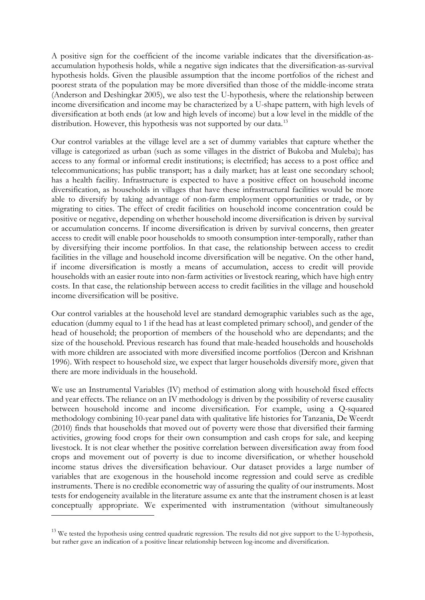A positive sign for the coefficient of the income variable indicates that the diversification-asaccumulation hypothesis holds, while a negative sign indicates that the diversification-as-survival hypothesis holds. Given the plausible assumption that the income portfolios of the richest and poorest strata of the population may be more diversified than those of the middle-income strata (Anderson and Deshingkar 2005), we also test the U-hypothesis, where the relationship between income diversification and income may be characterized by a U-shape pattern, with high levels of diversification at both ends (at low and high levels of income) but a low level in the middle of the distribution. However, this hypothesis was not supported by our data.<sup>[13](#page-10-0)</sup>

Our control variables at the village level are a set of dummy variables that capture whether the village is categorized as urban (such as some villages in the district of Bukoba and Muleba); has access to any formal or informal credit institutions; is electrified; has access to a post office and telecommunications; has public transport; has a daily market; has at least one secondary school; has a health facility. Infrastructure is expected to have a positive effect on household income diversification, as households in villages that have these infrastructural facilities would be more able to diversify by taking advantage of non-farm employment opportunities or trade, or by migrating to cities. The effect of credit facilities on household income concentration could be positive or negative, depending on whether household income diversification is driven by survival or accumulation concerns. If income diversification is driven by survival concerns, then greater access to credit will enable poor households to smooth consumption inter-temporally, rather than by diversifying their income portfolios. In that case, the relationship between access to credit facilities in the village and household income diversification will be negative. On the other hand, if income diversification is mostly a means of accumulation, access to credit will provide households with an easier route into non-farm activities or livestock rearing, which have high entry costs. In that case, the relationship between access to credit facilities in the village and household income diversification will be positive.

Our control variables at the household level are standard demographic variables such as the age, education (dummy equal to 1 if the head has at least completed primary school), and gender of the head of household; the proportion of members of the household who are dependants; and the size of the household. Previous research has found that male-headed households and households with more children are associated with more diversified income portfolios (Dercon and Krishnan 1996). With respect to household size, we expect that larger households diversify more, given that there are more individuals in the household.

We use an Instrumental Variables (IV) method of estimation along with household fixed effects and year effects. The reliance on an IV methodology is driven by the possibility of reverse causality between household income and income diversification. For example, using a Q-squared methodology combining 10-year panel data with qualitative life histories for Tanzania, De Weerdt (2010) finds that households that moved out of poverty were those that diversified their farming activities, growing food crops for their own consumption and cash crops for sale, and keeping livestock. It is not clear whether the positive correlation between diversification away from food crops and movement out of poverty is due to income diversification, or whether household income status drives the diversification behaviour. Our dataset provides a large number of variables that are exogenous in the household income regression and could serve as credible instruments. There is no credible econometric way of assuring the quality of our instruments. Most tests for endogeneity available in the literature assume ex ante that the instrument chosen is at least conceptually appropriate. We experimented with instrumentation (without simultaneously

<span id="page-10-0"></span><sup>&</sup>lt;sup>13</sup> We tested the hypothesis using centred quadratic regression. The results did not give support to the U-hypothesis, but rather gave an indication of a positive linear relationship between log-income and diversification.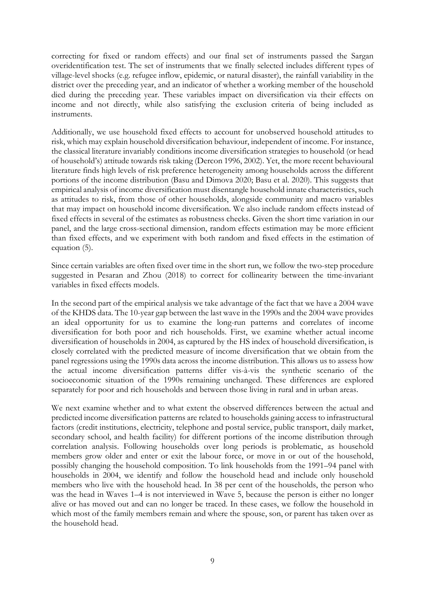correcting for fixed or random effects) and our final set of instruments passed the Sargan overidentification test. The set of instruments that we finally selected includes different types of village-level shocks (e.g. refugee inflow, epidemic, or natural disaster), the rainfall variability in the district over the preceding year, and an indicator of whether a working member of the household died during the preceding year. These variables impact on diversification via their effects on income and not directly, while also satisfying the exclusion criteria of being included as instruments.

Additionally, we use household fixed effects to account for unobserved household attitudes to risk, which may explain household diversification behaviour, independent of income. For instance, the classical literature invariably conditions income diversification strategies to household (or head of household's) attitude towards risk taking (Dercon 1996, 2002). Yet, the more recent behavioural literature finds high levels of risk preference heterogeneity among households across the different portions of the income distribution (Basu and Dimova 2020; Basu et al. 2020). This suggests that empirical analysis of income diversification must disentangle household innate characteristics, such as attitudes to risk, from those of other households, alongside community and macro variables that may impact on household income diversification. We also include random effects instead of fixed effects in several of the estimates as robustness checks. Given the short time variation in our panel, and the large cross-sectional dimension, random effects estimation may be more efficient than fixed effects, and we experiment with both random and fixed effects in the estimation of equation (5).

Since certain variables are often fixed over time in the short run, we follow the two-step procedure suggested in Pesaran and Zhou (2018) to correct for collinearity between the time-invariant variables in fixed effects models.

In the second part of the empirical analysis we take advantage of the fact that we have a 2004 wave of the KHDS data. The 10-year gap between the last wave in the 1990s and the 2004 wave provides an ideal opportunity for us to examine the long-run patterns and correlates of income diversification for both poor and rich households. First, we examine whether actual income diversification of households in 2004, as captured by the HS index of household diversification, is closely correlated with the predicted measure of income diversification that we obtain from the panel regressions using the 1990s data across the income distribution. This allows us to assess how the actual income diversification patterns differ vis-à-vis the synthetic scenario of the socioeconomic situation of the 1990s remaining unchanged. These differences are explored separately for poor and rich households and between those living in rural and in urban areas.

We next examine whether and to what extent the observed differences between the actual and predicted income diversification patterns are related to households gaining access to infrastructural factors (credit institutions, electricity, telephone and postal service, public transport, daily market, secondary school, and health facility) for different portions of the income distribution through correlation analysis. Following households over long periods is problematic, as household members grow older and enter or exit the labour force, or move in or out of the household, possibly changing the household composition. To link households from the 1991–94 panel with households in 2004, we identify and follow the household head and include only household members who live with the household head. In 38 per cent of the households, the person who was the head in Waves 1–4 is not interviewed in Wave 5, because the person is either no longer alive or has moved out and can no longer be traced. In these cases, we follow the household in which most of the family members remain and where the spouse, son, or parent has taken over as the household head.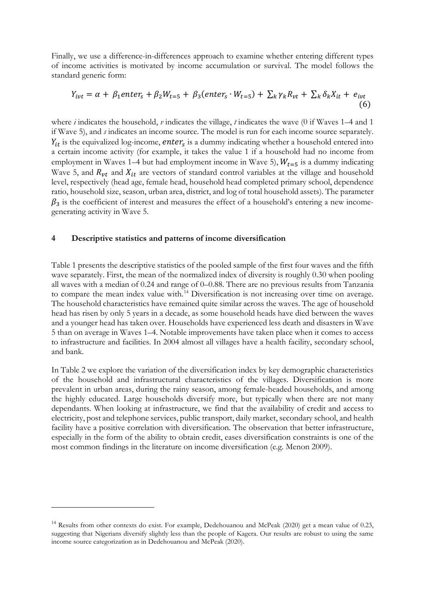Finally, we use a difference-in-differences approach to examine whether entering different types of income activities is motivated by income accumulation or survival. The model follows the standard generic form:

$$
Y_{ivt} = \alpha + \beta_1 enter_s + \beta_2 W_{t=5} + \beta_3 (enter_s \cdot W_{t=5}) + \sum_k \gamma_k R_{vt} + \sum_k \delta_k X_{it} + e_{ivt}
$$
\n(6)

where *i* indicates the household, *v* indicates the village, *t* indicates the wave (0 if Waves 1–4 and 1 if Wave 5), and *s* indicates an income source. The model is run for each income source separately.  $Y_{it}$  is the equivalized log-income, enter<sub>s</sub> is a dummy indicating whether a household entered into a certain income activity (for example, it takes the value 1 if a household had no income from employment in Waves 1–4 but had employment income in Wave 5),  $W_{t=5}$  is a dummy indicating Wave 5, and  $R_{vt}$  and  $X_{it}$  are vectors of standard control variables at the village and household level, respectively (head age, female head, household head completed primary school, dependence ratio, household size, season, urban area, district, and log of total household assets). The parameter  $\beta_3$  is the coefficient of interest and measures the effect of a household's entering a new incomegenerating activity in Wave 5.

## **4 Descriptive statistics and patterns of income diversification**

Table 1 presents the descriptive statistics of the pooled sample of the first four waves and the fifth wave separately. First, the mean of the normalized index of diversity is roughly 0.30 when pooling all waves with a median of 0.24 and range of 0–0.88. There are no previous results from Tanzania to compare the mean index value with.<sup>[14](#page-12-0)</sup> Diversification is not increasing over time on average. The household characteristics have remained quite similar across the waves. The age of household head has risen by only 5 years in a decade, as some household heads have died between the waves and a younger head has taken over. Households have experienced less death and disasters in Wave 5 than on average in Waves 1–4. Notable improvements have taken place when it comes to access to infrastructure and facilities. In 2004 almost all villages have a health facility, secondary school, and bank.

In Table 2 we explore the variation of the diversification index by key demographic characteristics of the household and infrastructural characteristics of the villages. Diversification is more prevalent in urban areas, during the rainy season, among female-headed households, and among the highly educated. Large households diversify more, but typically when there are not many dependants. When looking at infrastructure, we find that the availability of credit and access to electricity, post and telephone services, public transport, daily market, secondary school, and health facility have a positive correlation with diversification. The observation that better infrastructure, especially in the form of the ability to obtain credit, eases diversification constraints is one of the most common findings in the literature on income diversification (e.g. Menon 2009).

<span id="page-12-0"></span><sup>&</sup>lt;sup>14</sup> Results from other contexts do exist. For example, Dedehouanou and McPeak (2020) get a mean value of 0.23, suggesting that Nigerians diversify slightly less than the people of Kagera. Our results are robust to using the same income source categorization as in Dedehouanou and McPeak (2020).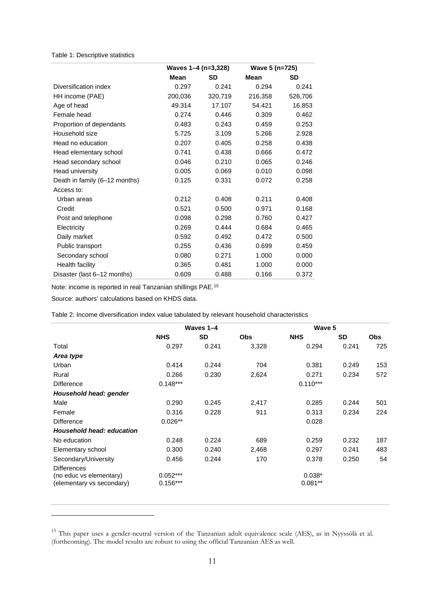## Table 1: Descriptive statistics

|                               | Waves 1-4 (n=3,328) |           | Wave 5 (n=725) |           |  |
|-------------------------------|---------------------|-----------|----------------|-----------|--|
|                               | Mean                | <b>SD</b> | Mean           | <b>SD</b> |  |
| Diversification index         | 0.297               | 0.241     | 0.294          | 0.241     |  |
| HH income (PAE)               | 200,036             | 320,719   | 216,358        | 526,706   |  |
| Age of head                   | 49.314              | 17.107    | 54.421         | 16.853    |  |
| Female head                   | 0.274               | 0.446     | 0.309          | 0.462     |  |
| Proportion of dependants      | 0.483               | 0.243     | 0.459          | 0.253     |  |
| Household size                | 5.725               | 3.109     | 5.266          | 2.928     |  |
| Head no education             | 0.207               | 0.405     | 0.258          | 0.438     |  |
| Head elementary school        | 0.741               | 0.438     | 0.666          | 0.472     |  |
| Head secondary school         | 0.046               | 0.210     | 0.065          | 0.246     |  |
| Head university               | 0.005               | 0.069     | 0.010          | 0.098     |  |
| Death in family (6-12 months) | 0.125               | 0.331     | 0.072          | 0.258     |  |
| Access to:                    |                     |           |                |           |  |
| Urban areas                   | 0.212               | 0.408     | 0.211          | 0.408     |  |
| Credit                        | 0.521               | 0.500     | 0.971          | 0.168     |  |
| Post and telephone            | 0.098               | 0.298     | 0.760          | 0.427     |  |
| Electricity                   | 0.269               | 0.444     | 0.684          | 0.465     |  |
| Daily market                  | 0.592               | 0.492     | 0.472          | 0.500     |  |
| Public transport              | 0.255               | 0.436     | 0.699          | 0.459     |  |
| Secondary school              | 0.080               | 0.271     | 1.000          | 0.000     |  |
| Health facility               | 0.365               | 0.481     | 1.000          | 0.000     |  |
| Disaster (last 6-12 months)   | 0.609               | 0.488     | 0.166          | 0.372     |  |

Note: income is reported in real Tanzanian shillings PAE. [15](#page-13-0)

Source: authors' calculations based on KHDS data.

Table 2: Income diversification index value tabulated by relevant household characteristics

|                                                                            | Waves 1-4                |           |            | Wave 5                |           |            |
|----------------------------------------------------------------------------|--------------------------|-----------|------------|-----------------------|-----------|------------|
|                                                                            | <b>NHS</b>               | <b>SD</b> | <b>Obs</b> | <b>NHS</b>            | <b>SD</b> | <b>Obs</b> |
| Total                                                                      | 0.297                    | 0.241     | 3,328      | 0.294                 | 0.241     | 725        |
| Area type                                                                  |                          |           |            |                       |           |            |
| Urban                                                                      | 0.414                    | 0.244     | 704        | 0.381                 | 0.249     | 153        |
| Rural                                                                      | 0.266                    | 0.230     | 2,624      | 0.271                 | 0.234     | 572        |
| <b>Difference</b>                                                          | $0.148***$               |           |            | $0.110***$            |           |            |
| Household head: gender                                                     |                          |           |            |                       |           |            |
| Male                                                                       | 0.290                    | 0.245     | 2,417      | 0.285                 | 0.244     | 501        |
| Female                                                                     | 0.316                    | 0.228     | 911        | 0.313                 | 0.234     | 224        |
| <b>Difference</b>                                                          | $0.026**$                |           |            | 0.028                 |           |            |
| Household head: education                                                  |                          |           |            |                       |           |            |
| No education                                                               | 0.248                    | 0.224     | 689        | 0.259                 | 0.232     | 187        |
| Elementary school                                                          | 0.300                    | 0.240     | 2,468      | 0.297                 | 0.241     | 483        |
| Secondary/University                                                       | 0.456                    | 0.244     | 170        | 0.378                 | 0.250     | 54         |
| <b>Differences</b><br>(no educ vs elementary)<br>(elementary vs secondary) | $0.052***$<br>$0.156***$ |           |            | $0.038*$<br>$0.081**$ |           |            |

<span id="page-13-0"></span><sup>&</sup>lt;sup>15</sup> This paper uses a gender-neutral version of the Tanzanian adult equivalence scale (AES), as in Nyyssölä et al. (forthcoming). The model results are robust to using the official Tanzanian AES as well.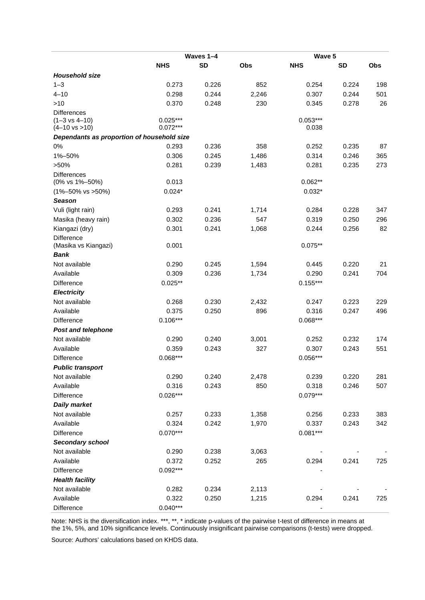|                                            | Waves 1-4      |                |              | Wave 5     |           |     |
|--------------------------------------------|----------------|----------------|--------------|------------|-----------|-----|
|                                            | <b>NHS</b>     | <b>SD</b>      | Obs          | <b>NHS</b> | <b>SD</b> | Obs |
| <b>Household size</b>                      |                |                |              |            |           |     |
| $1 - 3$                                    | 0.273          | 0.226          | 852          | 0.254      | 0.224     | 198 |
| $4 - 10$                                   | 0.298          | 0.244          | 2,246        | 0.307      | 0.244     | 501 |
| >10                                        | 0.370          | 0.248          | 230          | 0.345      | 0.278     | 26  |
| <b>Differences</b>                         |                |                |              |            |           |     |
| $(1 - 3 \text{ vs } 4 - 10)$               | $0.025***$     |                |              | $0.053***$ |           |     |
| $(4-10 \text{ vs } >10)$                   | $0.072***$     |                |              | 0.038      |           |     |
| Dependants as proportion of household size |                |                |              |            |           |     |
| 0%                                         | 0.293          | 0.236          | 358          | 0.252      | 0.235     | 87  |
| 1%-50%                                     | 0.306          | 0.245          | 1,486        | 0.314      | 0.246     | 365 |
| $>50\%$                                    | 0.281          | 0.239          | 1,483        | 0.281      | 0.235     | 273 |
| <b>Differences</b>                         |                |                |              | $0.062**$  |           |     |
| (0% vs 1%-50%)                             | 0.013          |                |              |            |           |     |
| $(1\% - 50\% \text{ vs } > 50\%)$          | $0.024*$       |                |              | $0.032*$   |           |     |
| <b>Season</b>                              |                |                |              |            |           |     |
| Vuli (light rain)                          | 0.293          | 0.241          | 1,714        | 0.284      | 0.228     | 347 |
| Masika (heavy rain)                        | 0.302          | 0.236          | 547          | 0.319      | 0.250     | 296 |
| Kiangazi (dry)                             | 0.301          | 0.241          | 1,068        | 0.244      | 0.256     | 82  |
| Difference<br>(Masika vs Kiangazi)         | 0.001          |                |              | $0.075**$  |           |     |
| <b>Bank</b>                                |                |                |              |            |           |     |
| Not available                              | 0.290          | 0.245          | 1,594        | 0.445      | 0.220     | 21  |
| Available                                  | 0.309          | 0.236          | 1,734        | 0.290      | 0.241     | 704 |
| Difference                                 | $0.025**$      |                |              | $0.155***$ |           |     |
| <b>Electricity</b>                         |                |                |              |            |           |     |
| Not available                              | 0.268          | 0.230          | 2,432        | 0.247      | 0.223     | 229 |
| Available                                  | 0.375          | 0.250          | 896          | 0.316      | 0.247     | 496 |
| Difference                                 | $0.106***$     |                |              | $0.068***$ |           |     |
| <b>Post and telephone</b>                  |                |                |              |            |           |     |
| Not available                              | 0.290          | 0.240          | 3,001        | 0.252      | 0.232     | 174 |
| Available                                  | 0.359          | 0.243          | 327          | 0.307      | 0.243     | 551 |
| Difference                                 | $0.068***$     |                |              | $0.056***$ |           |     |
| <b>Public transport</b>                    |                |                |              |            |           |     |
| Not available                              | 0.290          | 0.240          | 2,478        | 0.239      | 0.220     | 281 |
| Available                                  | 0.316          | 0.243          | 850          | 0.318      | 0.246     | 507 |
| Difference                                 | $0.026***$     |                |              | $0.079***$ |           |     |
| <b>Daily market</b>                        |                |                |              |            |           |     |
| Not available                              | 0.257          | 0.233          | 1,358        | 0.256      | 0.233     | 383 |
| Available                                  | 0.324          | 0.242          | 1,970        | 0.337      | 0.243     | 342 |
| <b>Difference</b>                          | $0.070***$     |                |              | $0.081***$ |           |     |
|                                            |                |                |              |            |           |     |
| Secondary school<br>Not available          |                |                |              |            |           |     |
| Available                                  | 0.290<br>0.372 | 0.238<br>0.252 | 3,063<br>265 |            | 0.241     | 725 |
|                                            |                |                |              | 0.294      |           |     |
| Difference                                 | $0.092***$     |                |              |            |           |     |
| <b>Health facility</b>                     |                |                |              |            |           |     |
| Not available                              | 0.282          | 0.234          | 2,113        |            |           |     |
| Available                                  | 0.322          | 0.250          | 1,215        | 0.294      | 0.241     | 725 |
| Difference                                 | $0.040***$     |                |              |            |           |     |

Note: NHS is the diversification index. \*\*\*, \*\*, \* indicate p-values of the pairwise t-test of difference in means at the 1%, 5%, and 10% significance levels. Continuously insignificant pairwise comparisons (t-tests) were dropped.

Source: Authors' calculations based on KHDS data.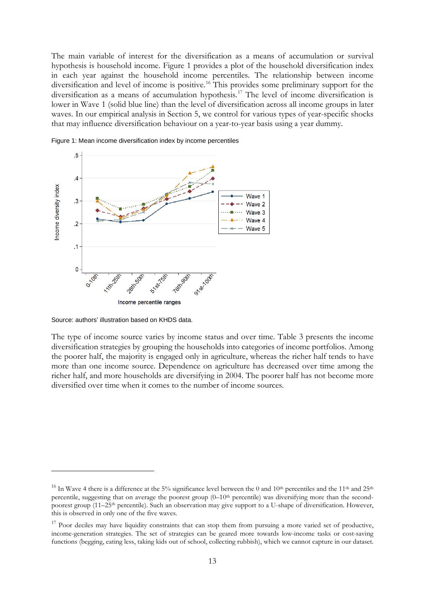The main variable of interest for the diversification as a means of accumulation or survival hypothesis is household income. Figure 1 provides a plot of the household diversification index in each year against the household income percentiles. The relationship between income diversification and level of income is positive. [16](#page-15-0) This provides some preliminary support for the diversification as a means of accumulation hypothesis.[17](#page-15-1) The level of income diversification is lower in Wave 1 (solid blue line) than the level of diversification across all income groups in later waves. In our empirical analysis in Section 5, we control for various types of year-specific shocks that may influence diversification behaviour on a year-to-year basis using a year dummy.



Figure 1: Mean income diversification index by income percentiles

Source: authors' illustration based on KHDS data.

The type of income source varies by income status and over time. Table 3 presents the income diversification strategies by grouping the households into categories of income portfolios. Among the poorer half, the majority is engaged only in agriculture, whereas the richer half tends to have more than one income source. Dependence on agriculture has decreased over time among the richer half, and more households are diversifying in 2004. The poorer half has not become more diversified over time when it comes to the number of income sources.

<span id="page-15-0"></span><sup>&</sup>lt;sup>16</sup> In Wave 4 there is a difference at the 5% significance level between the 0 and  $10<sup>th</sup>$  percentiles and the  $11<sup>th</sup>$  and  $25<sup>th</sup>$ percentile, suggesting that on average the poorest group  $(0-10<sup>th</sup>$  percentile) was diversifying more than the secondpoorest group (11–25<sup>th</sup> percentile). Such an observation may give support to a U-shape of diversification. However, this is observed in only one of the five waves.

<span id="page-15-1"></span> $17$  Poor deciles may have liquidity constraints that can stop them from pursuing a more varied set of productive, income-generation strategies. The set of strategies can be geared more towards low-income tasks or cost-saving functions (begging, eating less, taking kids out of school, collecting rubbish), which we cannot capture in our dataset.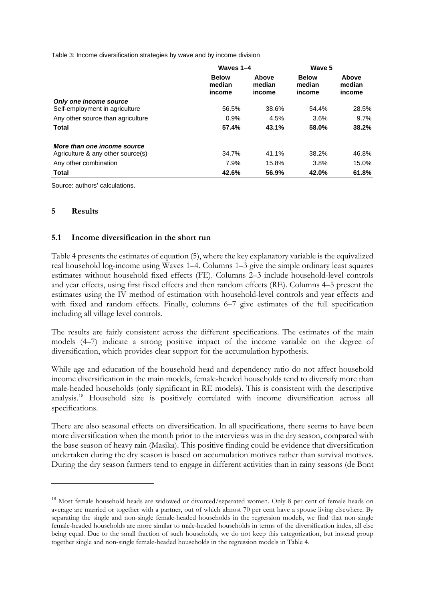Table 3: Income diversification strategies by wave and by income division

|                                   | Waves 1-4                        |                           | Wave 5                           |                           |
|-----------------------------------|----------------------------------|---------------------------|----------------------------------|---------------------------|
|                                   | <b>Below</b><br>median<br>income | Above<br>median<br>income | <b>Below</b><br>median<br>income | Above<br>median<br>income |
| Only one income source            |                                  |                           |                                  |                           |
| Self-employment in agriculture    | 56.5%                            | 38.6%                     | 54.4%                            | 28.5%                     |
| Any other source than agriculture | 0.9%                             | 4.5%                      | 3.6%                             | 9.7%                      |
| <b>Total</b>                      | 57.4%                            | 43.1%                     | 58.0%                            | 38.2%                     |
| More than one income source       |                                  |                           |                                  |                           |
| Agriculture & any other source(s) | 34.7%                            | 41.1%                     | 38.2%                            | 46.8%                     |
| Any other combination             | 7.9%                             | 15.8%                     | 3.8%                             | 15.0%                     |
| <b>Total</b>                      | 42.6%                            | 56.9%                     | 42.0%                            | 61.8%                     |

Source: authors' calculations.

## **5 Results**

## **5.1 Income diversification in the short run**

Table 4 presents the estimates of equation (5), where the key explanatory variable is the equivalized real household log-income using Waves 1–4. Columns 1–3 give the simple ordinary least squares estimates without household fixed effects (FE). Columns 2–3 include household-level controls and year effects, using first fixed effects and then random effects (RE). Columns 4–5 present the estimates using the IV method of estimation with household-level controls and year effects and with fixed and random effects. Finally, columns 6–7 give estimates of the full specification including all village level controls.

The results are fairly consistent across the different specifications. The estimates of the main models (4–7) indicate a strong positive impact of the income variable on the degree of diversification, which provides clear support for the accumulation hypothesis.

While age and education of the household head and dependency ratio do not affect household income diversification in the main models, female-headed households tend to diversify more than male-headed households (only significant in RE models). This is consistent with the descriptive analysis.[18](#page-16-0) Household size is positively correlated with income diversification across all specifications.

There are also seasonal effects on diversification. In all specifications, there seems to have been more diversification when the month prior to the interviews was in the dry season, compared with the base season of heavy rain (Masika). This positive finding could be evidence that diversification undertaken during the dry season is based on accumulation motives rather than survival motives. During the dry season farmers tend to engage in different activities than in rainy seasons (de Bont

<span id="page-16-0"></span><sup>&</sup>lt;sup>18</sup> Most female household heads are widowed or divorced/separated women. Only 8 per cent of female heads on average are married or together with a partner, out of which almost 70 per cent have a spouse living elsewhere. By separating the single and non-single female-headed households in the regression models, we find that non-single female-headed households are more similar to male-headed households in terms of the diversification index, all else being equal. Due to the small fraction of such households, we do not keep this categorization, but instead group together single and non-single female-headed households in the regression models in Table 4.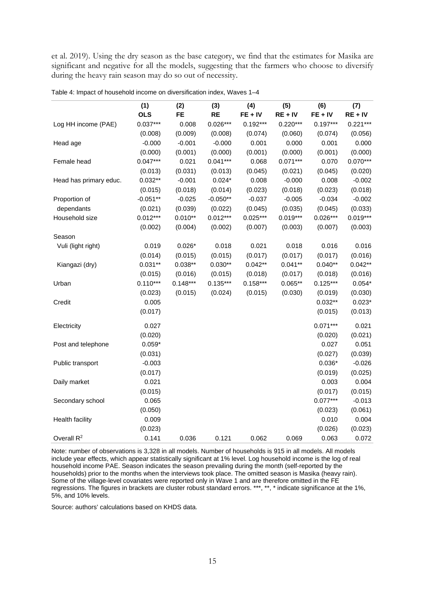et al. 2019). Using the dry season as the base category, we find that the estimates for Masika are significant and negative for all the models, suggesting that the farmers who choose to diversify during the heavy rain season may do so out of necessity.

|                        | (1)        | (2)        | (3)        | (4)        | (5)        | (6)        | (7)        |
|------------------------|------------|------------|------------|------------|------------|------------|------------|
|                        | <b>OLS</b> | <b>FE</b>  | <b>RE</b>  | $FE + IV$  | $RE + IV$  | $FE + IV$  | $RE + IV$  |
| Log HH income (PAE)    | $0.037***$ | 0.008      | $0.026***$ | $0.192***$ | $0.220***$ | $0.197***$ | $0.221***$ |
|                        | (0.008)    | (0.009)    | (0.008)    | (0.074)    | (0.060)    | (0.074)    | (0.056)    |
| Head age               | $-0.000$   | $-0.001$   | $-0.000$   | 0.001      | 0.000      | 0.001      | 0.000      |
|                        | (0.000)    | (0.001)    | (0.000)    | (0.001)    | (0.000)    | (0.001)    | (0.000)    |
| Female head            | $0.047***$ | 0.021      | $0.041***$ | 0.068      | $0.071***$ | 0.070      | $0.070***$ |
|                        | (0.013)    | (0.031)    | (0.013)    | (0.045)    | (0.021)    | (0.045)    | (0.020)    |
| Head has primary educ. | $0.032**$  | $-0.001$   | $0.024*$   | 0.008      | $-0.000$   | 0.008      | $-0.002$   |
|                        | (0.015)    | (0.018)    | (0.014)    | (0.023)    | (0.018)    | (0.023)    | (0.018)    |
| Proportion of          | $-0.051**$ | $-0.025$   | $-0.050**$ | $-0.037$   | $-0.005$   | $-0.034$   | $-0.002$   |
| dependants             | (0.021)    | (0.039)    | (0.022)    | (0.045)    | (0.035)    | (0.045)    | (0.033)    |
| Household size         | $0.012***$ | $0.010**$  | $0.012***$ | $0.025***$ | $0.019***$ | $0.026***$ | $0.019***$ |
|                        | (0.002)    | (0.004)    | (0.002)    | (0.007)    | (0.003)    | (0.007)    | (0.003)    |
| Season                 |            |            |            |            |            |            |            |
| Vuli (light right)     | 0.019      | $0.026*$   | 0.018      | 0.021      | 0.018      | 0.016      | 0.016      |
|                        | (0.014)    | (0.015)    | (0.015)    | (0.017)    | (0.017)    | (0.017)    | (0.016)    |
| Kiangazi (dry)         | $0.031**$  | $0.038**$  | $0.030**$  | $0.042**$  | $0.041**$  | $0.040**$  | $0.042**$  |
|                        | (0.015)    | (0.016)    | (0.015)    | (0.018)    | (0.017)    | (0.018)    | (0.016)    |
| Urban                  | $0.110***$ | $0.148***$ | $0.135***$ | $0.158***$ | $0.065**$  | $0.125***$ | $0.054*$   |
|                        | (0.023)    | (0.015)    | (0.024)    | (0.015)    | (0.030)    | (0.019)    | (0.030)    |
| Credit                 | 0.005      |            |            |            |            | $0.032**$  | $0.023*$   |
|                        | (0.017)    |            |            |            |            | (0.015)    | (0.013)    |
| Electricity            | 0.027      |            |            |            |            | $0.071***$ | 0.021      |
|                        | (0.020)    |            |            |            |            | (0.020)    | (0.021)    |
| Post and telephone     | $0.059*$   |            |            |            |            | 0.027      | 0.051      |
|                        | (0.031)    |            |            |            |            | (0.027)    | (0.039)    |
| Public transport       | $-0.003$   |            |            |            |            | $0.036*$   | $-0.026$   |
|                        | (0.017)    |            |            |            |            | (0.019)    | (0.025)    |
| Daily market           | 0.021      |            |            |            |            | 0.003      | 0.004      |
|                        | (0.015)    |            |            |            |            | (0.017)    | (0.015)    |
| Secondary school       | 0.065      |            |            |            |            | $0.077***$ | $-0.013$   |
|                        | (0.050)    |            |            |            |            | (0.023)    | (0.061)    |
| <b>Health facility</b> | 0.009      |            |            |            |            | 0.010      | 0.004      |
|                        | (0.023)    |            |            |            |            | (0.026)    | (0.023)    |
| Overall $R^2$          | 0.141      | 0.036      | 0.121      | 0.062      | 0.069      | 0.063      | 0.072      |

| Table 4: Impact of household income on diversification index, Waves 1-4 |  |  |
|-------------------------------------------------------------------------|--|--|
|-------------------------------------------------------------------------|--|--|

Note: number of observations is 3,328 in all models. Number of households is 915 in all models. All models include year effects, which appear statistically significant at 1% level. Log household income is the log of real household income PAE. Season indicates the season prevailing during the month (self-reported by the households) prior to the months when the interviews took place. The omitted season is Masika (heavy rain). Some of the village-level covariates were reported only in Wave 1 and are therefore omitted in the FE regressions. The figures in brackets are cluster robust standard errors. \*\*\*, \*\*, \* indicate significance at the 1%, 5%, and 10% levels.

Source: authors' calculations based on KHDS data.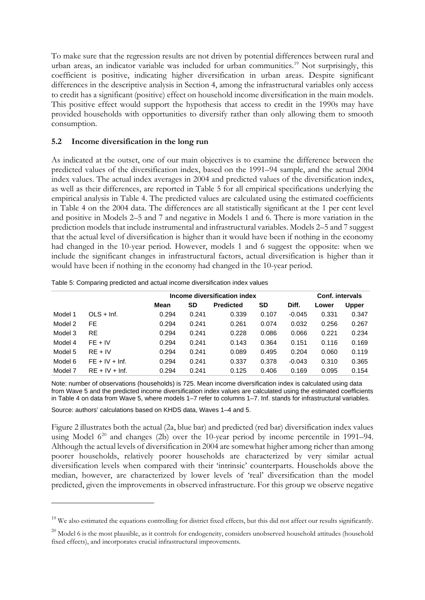To make sure that the regression results are not driven by potential differences between rural and urban areas, an indicator variable was included for urban communities.<sup>[19](#page-18-0)</sup> Not surprisingly, this coefficient is positive, indicating higher diversification in urban areas. Despite significant differences in the descriptive analysis in Section 4, among the infrastructural variables only access to credit has a significant (positive) effect on household income diversification in the main models. This positive effect would support the hypothesis that access to credit in the 1990s may have provided households with opportunities to diversify rather than only allowing them to smooth consumption.

# **5.2 Income diversification in the long run**

As indicated at the outset, one of our main objectives is to examine the difference between the predicted values of the diversification index, based on the 1991–94 sample, and the actual 2004 index values. The actual index averages in 2004 and predicted values of the diversification index, as well as their differences, are reported in Table 5 for all empirical specifications underlying the empirical analysis in Table 4. The predicted values are calculated using the estimated coefficients in Table 4 on the 2004 data. The differences are all statistically significant at the 1 per cent level and positive in Models 2–5 and 7 and negative in Models 1 and 6. There is more variation in the prediction models that include instrumental and infrastructural variables. Models 2–5 and 7 suggest that the actual level of diversification is higher than it would have been if nothing in the economy had changed in the 10-year period. However, models 1 and 6 suggest the opposite: when we include the significant changes in infrastructural factors, actual diversification is higher than it would have been if nothing in the economy had changed in the 10-year period.

|         |                  |       | Income diversification index |                  |       |          |       | Conf. intervals |  |
|---------|------------------|-------|------------------------------|------------------|-------|----------|-------|-----------------|--|
|         |                  | Mean  | SD                           | <b>Predicted</b> | SD    | Diff.    | Lower | <b>Upper</b>    |  |
| Model 1 | $OLS + Inf.$     | 0.294 | 0.241                        | 0.339            | 0.107 | $-0.045$ | 0.331 | 0.347           |  |
| Model 2 | FE.              | 0.294 | 0.241                        | 0.261            | 0.074 | 0.032    | 0.256 | 0.267           |  |
| Model 3 | <b>RE</b>        | 0.294 | 0.241                        | 0.228            | 0.086 | 0.066    | 0.221 | 0.234           |  |
| Model 4 | $FE + IV$        | 0.294 | 0.241                        | 0.143            | 0.364 | 0.151    | 0.116 | 0.169           |  |
| Model 5 | $RE + IV$        | 0.294 | 0.241                        | 0.089            | 0.495 | 0.204    | 0.060 | 0.119           |  |
| Model 6 | $FE + IV + Inf.$ | 0.294 | 0.241                        | 0.337            | 0.378 | $-0.043$ | 0.310 | 0.365           |  |
| Model 7 | $RE + IV + Inf.$ | 0.294 | 0.241                        | 0.125            | 0.406 | 0.169    | 0.095 | 0.154           |  |

Table 5: Comparing predicted and actual income diversification index values

Note: number of observations (households) is 725. Mean income diversification index is calculated using data from Wave 5 and the predicted income diversification index values are calculated using the estimated coefficients in Table 4 on data from Wave 5, where models 1–7 refer to columns 1–7. Inf. stands for infrastructural variables.

Source: authors' calculations based on KHDS data, Waves 1–4 and 5.

Figure 2 illustrates both the actual (2a, blue bar) and predicted (red bar) diversification index values using Model  $6^{20}$  $6^{20}$  $6^{20}$  and changes (2b) over the 10-year period by income percentile in 1991–94. Although the actual levels of diversification in 2004 are somewhat higher among richer than among poorer households, relatively poorer households are characterized by very similar actual diversification levels when compared with their 'intrinsic' counterparts. Households above the median, however, are characterized by lower levels of 'real' diversification than the model predicted, given the improvements in observed infrastructure. For this group we observe negative

<span id="page-18-0"></span><sup>&</sup>lt;sup>19</sup> We also estimated the equations controlling for district fixed effects, but this did not affect our results significantly.

<span id="page-18-1"></span> $^{20}$  Model 6 is the most plausible, as it controls for endogeneity, considers unobserved household attitudes (household fixed effects), and incorporates crucial infrastructural improvements.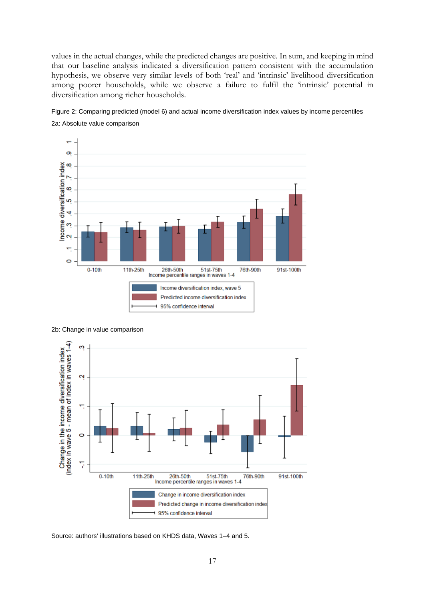values in the actual changes, while the predicted changes are positive. In sum, and keeping in mind that our baseline analysis indicated a diversification pattern consistent with the accumulation hypothesis, we observe very similar levels of both 'real' and 'intrinsic' livelihood diversification among poorer households, while we observe a failure to fulfil the 'intrinsic' potential in diversification among richer households.









Source: authors' illustrations based on KHDS data, Waves 1–4 and 5.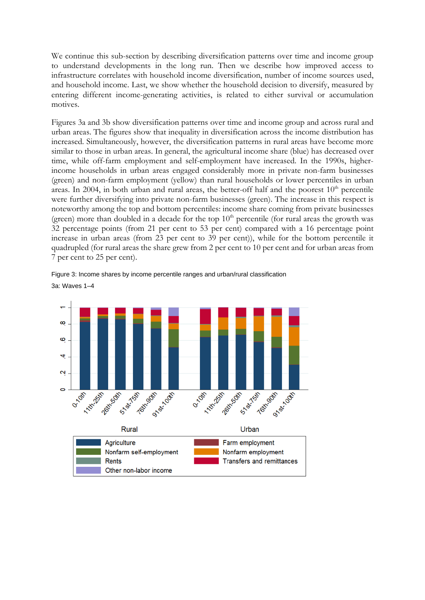We continue this sub-section by describing diversification patterns over time and income group to understand developments in the long run. Then we describe how improved access to infrastructure correlates with household income diversification, number of income sources used, and household income. Last, we show whether the household decision to diversify, measured by entering different income-generating activities, is related to either survival or accumulation motives.

Figures 3a and 3b show diversification patterns over time and income group and across rural and urban areas. The figures show that inequality in diversification across the income distribution has increased. Simultaneously, however, the diversification patterns in rural areas have become more similar to those in urban areas. In general, the agricultural income share (blue) has decreased over time, while off-farm employment and self-employment have increased. In the 1990s, higherincome households in urban areas engaged considerably more in private non-farm businesses (green) and non-farm employment (yellow) than rural households or lower percentiles in urban areas. In 2004, in both urban and rural areas, the better-off half and the poorest  $10<sup>th</sup>$  percentile were further diversifying into private non-farm businesses (green). The increase in this respect is noteworthy among the top and bottom percentiles: income share coming from private businesses (green) more than doubled in a decade for the top  $10<sup>th</sup>$  percentile (for rural areas the growth was 32 percentage points (from 21 per cent to 53 per cent) compared with a 16 percentage point increase in urban areas (from 23 per cent to 39 per cent)), while for the bottom percentile it quadrupled (for rural areas the share grew from 2 per cent to 10 per cent and for urban areas from 7 per cent to 25 per cent).



Figure 3: Income shares by income percentile ranges and urban/rural classification 3a: Waves 1–4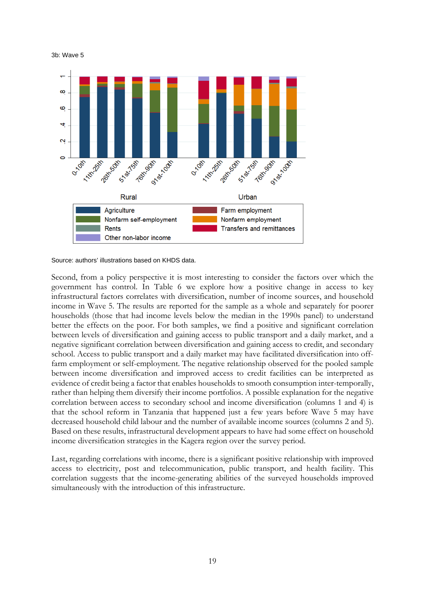3b: Wave 5



Source: authors' illustrations based on KHDS data.

Second, from a policy perspective it is most interesting to consider the factors over which the government has control. In Table 6 we explore how a positive change in access to key infrastructural factors correlates with diversification, number of income sources, and household income in Wave 5. The results are reported for the sample as a whole and separately for poorer households (those that had income levels below the median in the 1990s panel) to understand better the effects on the poor. For both samples, we find a positive and significant correlation between levels of diversification and gaining access to public transport and a daily market, and a negative significant correlation between diversification and gaining access to credit, and secondary school. Access to public transport and a daily market may have facilitated diversification into offfarm employment or self-employment. The negative relationship observed for the pooled sample between income diversification and improved access to credit facilities can be interpreted as evidence of credit being a factor that enables households to smooth consumption inter-temporally, rather than helping them diversify their income portfolios. A possible explanation for the negative correlation between access to secondary school and income diversification (columns 1 and 4) is that the school reform in Tanzania that happened just a few years before Wave 5 may have decreased household child labour and the number of available income sources (columns 2 and 5). Based on these results, infrastructural development appears to have had some effect on household income diversification strategies in the Kagera region over the survey period.

Last, regarding correlations with income, there is a significant positive relationship with improved access to electricity, post and telecommunication, public transport, and health facility. This correlation suggests that the income-generating abilities of the surveyed households improved simultaneously with the introduction of this infrastructure.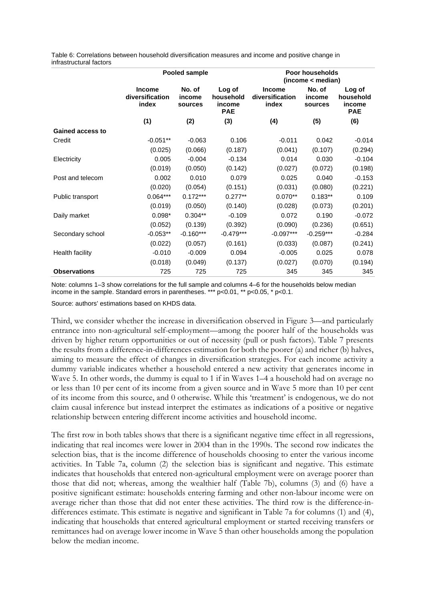Table 6: Correlations between household diversification measures and income and positive change in infrastructural factors

|                         |                                           | Pooled sample               |                                             | Poor households<br>(income < median)      |                             |                                             |  |
|-------------------------|-------------------------------------------|-----------------------------|---------------------------------------------|-------------------------------------------|-----------------------------|---------------------------------------------|--|
|                         | <b>Income</b><br>diversification<br>index | No. of<br>income<br>sources | Log of<br>household<br>income<br><b>PAE</b> | <b>Income</b><br>diversification<br>index | No. of<br>income<br>sources | Log of<br>household<br>income<br><b>PAE</b> |  |
|                         | (1)                                       | (2)                         | (3)                                         | (4)                                       | (5)                         | (6)                                         |  |
| <b>Gained access to</b> |                                           |                             |                                             |                                           |                             |                                             |  |
| Credit                  | $-0.051**$                                | $-0.063$                    | 0.106                                       | $-0.011$                                  | 0.042                       | $-0.014$                                    |  |
|                         | (0.025)                                   | (0.066)                     | (0.187)                                     | (0.041)                                   | (0.107)                     | (0.294)                                     |  |
| Electricity             | 0.005                                     | $-0.004$                    | $-0.134$                                    | 0.014                                     | 0.030                       | $-0.104$                                    |  |
|                         | (0.019)                                   | (0.050)                     | (0.142)                                     | (0.027)                                   | (0.072)                     | (0.198)                                     |  |
| Post and telecom        | 0.002                                     | 0.010                       | 0.079                                       | 0.025                                     | 0.040                       | $-0.153$                                    |  |
|                         | (0.020)                                   | (0.054)                     | (0.151)                                     | (0.031)                                   | (0.080)                     | (0.221)                                     |  |
| Public transport        | $0.064***$                                | $0.172***$                  | $0.277**$                                   | $0.070**$                                 | $0.183**$                   | 0.109                                       |  |
|                         | (0.019)                                   | (0.050)                     | (0.140)                                     | (0.028)                                   | (0.073)                     | (0.201)                                     |  |
| Daily market            | $0.098*$                                  | $0.304**$                   | $-0.109$                                    | 0.072                                     | 0.190                       | $-0.072$                                    |  |
|                         | (0.052)                                   | (0.139)                     | (0.392)                                     | (0.090)                                   | (0.236)                     | (0.651)                                     |  |
| Secondary school        | $-0.053**$                                | $-0.160***$                 | $-0.479***$                                 | $-0.097***$                               | $-0.259***$                 | $-0.284$                                    |  |
|                         | (0.022)                                   | (0.057)                     | (0.161)                                     | (0.033)                                   | (0.087)                     | (0.241)                                     |  |
| Health facility         | $-0.010$                                  | $-0.009$                    | 0.094                                       | $-0.005$                                  | 0.025                       | 0.078                                       |  |
|                         | (0.018)                                   | (0.049)                     | (0.137)                                     | (0.027)                                   | (0.070)                     | (0.194)                                     |  |
| <b>Observations</b>     | 725                                       | 725                         | 725                                         | 345                                       | 345                         | 345                                         |  |

Note: columns 1–3 show correlations for the full sample and columns 4–6 for the households below median income in the sample. Standard errors in parentheses. \*\*\* p<0.01, \*\* p<0.05, \* p<0.1.

Source: authors' estimations based on KHDS data.

Third, we consider whether the increase in diversification observed in Figure 3—and particularly entrance into non-agricultural self-employment—among the poorer half of the households was driven by higher return opportunities or out of necessity (pull or push factors). Table 7 presents the results from a difference-in-differences estimation for both the poorer (a) and richer (b) halves, aiming to measure the effect of changes in diversification strategies. For each income activity a dummy variable indicates whether a household entered a new activity that generates income in Wave 5. In other words, the dummy is equal to 1 if in Waves 1–4 a household had on average no or less than 10 per cent of its income from a given source and in Wave 5 more than 10 per cent of its income from this source, and 0 otherwise. While this 'treatment' is endogenous, we do not claim causal inference but instead interpret the estimates as indications of a positive or negative relationship between entering different income activities and household income.

The first row in both tables shows that there is a significant negative time effect in all regressions, indicating that real incomes were lower in 2004 than in the 1990s. The second row indicates the selection bias, that is the income difference of households choosing to enter the various income activities. In Table 7a, column (2) the selection bias is significant and negative. This estimate indicates that households that entered non-agricultural employment were on average poorer than those that did not; whereas, among the wealthier half (Table 7b), columns (3) and (6) have a positive significant estimate: households entering farming and other non-labour income were on average richer than those that did not enter these activities. The third row is the difference-indifferences estimate. This estimate is negative and significant in Table 7a for columns (1) and (4), indicating that households that entered agricultural employment or started receiving transfers or remittances had on average lower income in Wave 5 than other households among the population below the median income.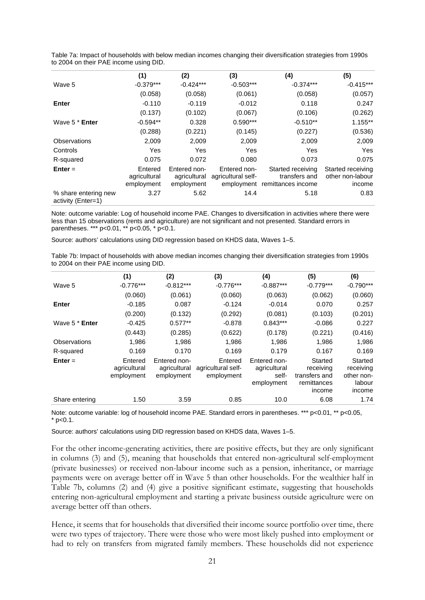|                                            | (1)                                   | (2)                                        | (3)                                              | (4)                                                      | (5)                                             |
|--------------------------------------------|---------------------------------------|--------------------------------------------|--------------------------------------------------|----------------------------------------------------------|-------------------------------------------------|
| Wave 5                                     | $-0.379***$                           | $-0.424***$                                | $-0.503***$                                      | $-0.374***$                                              | $-0.415***$                                     |
|                                            | (0.058)                               | (0.058)                                    | (0.061)                                          | (0.058)                                                  | (0.057)                                         |
| Enter                                      | $-0.110$                              | $-0.119$                                   | $-0.012$                                         | 0.118                                                    | 0.247                                           |
|                                            | (0.137)                               | (0.102)                                    | (0.067)                                          | (0.106)                                                  | (0.262)                                         |
| Wave 5 * Enter                             | $-0.594**$                            | 0.328                                      | $0.590***$                                       | $-0.510**$                                               | 1.155**                                         |
|                                            | (0.288)                               | (0.221)                                    | (0.145)                                          | (0.227)                                                  | (0.536)                                         |
| <b>Observations</b>                        | 2,009                                 | 2,009                                      | 2,009                                            | 2,009                                                    | 2,009                                           |
| Controls                                   | Yes                                   | Yes                                        | Yes                                              | Yes                                                      | Yes                                             |
| R-squared                                  | 0.075                                 | 0.072                                      | 0.080                                            | 0.073                                                    | 0.075                                           |
| $Enter =$                                  | Entered<br>agricultural<br>employment | Entered non-<br>agricultural<br>employment | Entered non-<br>agricultural self-<br>employment | Started receiving<br>transfers and<br>remittances income | Started receiving<br>other non-labour<br>income |
| % share entering new<br>activity (Enter=1) | 3.27                                  | 5.62                                       | 14.4                                             | 5.18                                                     | 0.83                                            |

Table 7a: Impact of households with below median incomes changing their diversification strategies from 1990s to 2004 on their PAE income using DID.

Note: outcome variable: Log of household income PAE. Changes to diversification in activities where there were less than 15 observations (rents and agriculture) are not significant and not presented. Standard errors in parentheses. \*\*\* p<0.01, \*\* p<0.05, \* p<0.1.

Source: authors' calculations using DID regression based on KHDS data, Waves 1–5.

Table 7b: Impact of households with above median incomes changing their diversification strategies from 1990s to 2004 on their PAE income using DID.

|                     | (1)                                   | (2)                                        | (3)                                         | (4)                                                 | (5)                                                            | (6)                                                    |
|---------------------|---------------------------------------|--------------------------------------------|---------------------------------------------|-----------------------------------------------------|----------------------------------------------------------------|--------------------------------------------------------|
| Wave 5              | $-0.776***$                           | $-0.812***$                                | $-0.776***$                                 | $-0.887***$                                         | $-0.779***$                                                    | $-0.790***$                                            |
|                     | (0.060)                               | (0.061)                                    | (0.060)                                     | (0.063)                                             | (0.062)                                                        | (0.060)                                                |
| <b>Enter</b>        | $-0.185$                              | 0.087                                      | $-0.124$                                    | $-0.014$                                            | 0.070                                                          | 0.257                                                  |
|                     | (0.200)                               | (0.132)                                    | (0.292)                                     | (0.081)                                             | (0.103)                                                        | (0.201)                                                |
| Wave 5 * Enter      | $-0.425$                              | $0.577**$                                  | $-0.878$                                    | $0.843***$                                          | $-0.086$                                                       | 0.227                                                  |
|                     | (0.443)                               | (0.285)                                    | (0.622)                                     | (0.178)                                             | (0.221)                                                        | (0.416)                                                |
| <b>Observations</b> | 1,986                                 | 1.986                                      | 1.986                                       | 1,986                                               | 1,986                                                          | 1,986                                                  |
| R-squared           | 0.169                                 | 0.170                                      | 0.169                                       | 0.179                                               | 0.167                                                          | 0.169                                                  |
| $Enter =$           | Entered<br>agricultural<br>employment | Entered non-<br>agricultural<br>employment | Entered<br>agricultural self-<br>employment | Entered non-<br>agricultural<br>self-<br>employment | Started<br>receiving<br>transfers and<br>remittances<br>income | Started<br>receiving<br>other non-<br>labour<br>income |
| Share entering      | 1.50                                  | 3.59                                       | 0.85                                        | 10.0                                                | 6.08                                                           | 1.74                                                   |

Note: outcome variable: log of household income PAE. Standard errors in parentheses. \*\*\* p<0.01, \*\* p<0.05,  $*$  p<0.1.

Source: authors' calculations using DID regression based on KHDS data, Waves 1–5.

For the other income-generating activities, there are positive effects, but they are only significant in columns (3) and (5), meaning that households that entered non-agricultural self-employment (private businesses) or received non-labour income such as a pension, inheritance, or marriage payments were on average better off in Wave 5 than other households. For the wealthier half in Table 7b, columns (2) and (4) give a positive significant estimate, suggesting that households entering non-agricultural employment and starting a private business outside agriculture were on average better off than others.

Hence, it seems that for households that diversified their income source portfolio over time, there were two types of trajectory. There were those who were most likely pushed into employment or had to rely on transfers from migrated family members. These households did not experience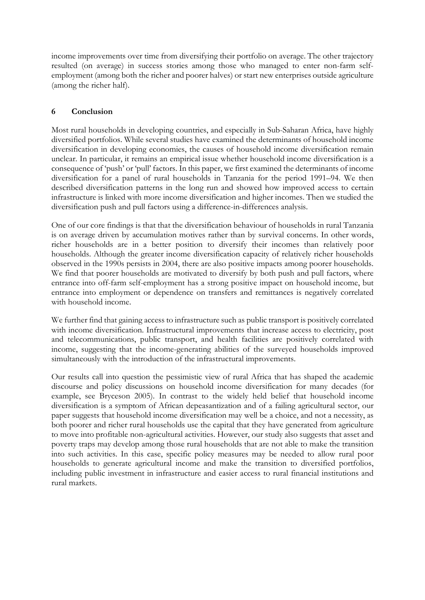income improvements over time from diversifying their portfolio on average. The other trajectory resulted (on average) in success stories among those who managed to enter non-farm selfemployment (among both the richer and poorer halves) or start new enterprises outside agriculture (among the richer half).

# **6 Conclusion**

Most rural households in developing countries, and especially in Sub-Saharan Africa, have highly diversified portfolios. While several studies have examined the determinants of household income diversification in developing economies, the causes of household income diversification remain unclear. In particular, it remains an empirical issue whether household income diversification is a consequence of 'push' or 'pull' factors. In this paper, we first examined the determinants of income diversification for a panel of rural households in Tanzania for the period 1991–94. We then described diversification patterns in the long run and showed how improved access to certain infrastructure is linked with more income diversification and higher incomes. Then we studied the diversification push and pull factors using a difference-in-differences analysis.

One of our core findings is that that the diversification behaviour of households in rural Tanzania is on average driven by accumulation motives rather than by survival concerns. In other words, richer households are in a better position to diversify their incomes than relatively poor households. Although the greater income diversification capacity of relatively richer households observed in the 1990s persists in 2004, there are also positive impacts among poorer households. We find that poorer households are motivated to diversify by both push and pull factors, where entrance into off-farm self-employment has a strong positive impact on household income, but entrance into employment or dependence on transfers and remittances is negatively correlated with household income.

We further find that gaining access to infrastructure such as public transport is positively correlated with income diversification. Infrastructural improvements that increase access to electricity, post and telecommunications, public transport, and health facilities are positively correlated with income, suggesting that the income-generating abilities of the surveyed households improved simultaneously with the introduction of the infrastructural improvements.

Our results call into question the pessimistic view of rural Africa that has shaped the academic discourse and policy discussions on household income diversification for many decades (for example, see Bryceson 2005). In contrast to the widely held belief that household income diversification is a symptom of African depeasantization and of a failing agricultural sector, our paper suggests that household income diversification may well be a choice, and not a necessity, as both poorer and richer rural households use the capital that they have generated from agriculture to move into profitable non-agricultural activities. However, our study also suggests that asset and poverty traps may develop among those rural households that are not able to make the transition into such activities. In this case, specific policy measures may be needed to allow rural poor households to generate agricultural income and make the transition to diversified portfolios, including public investment in infrastructure and easier access to rural financial institutions and rural markets.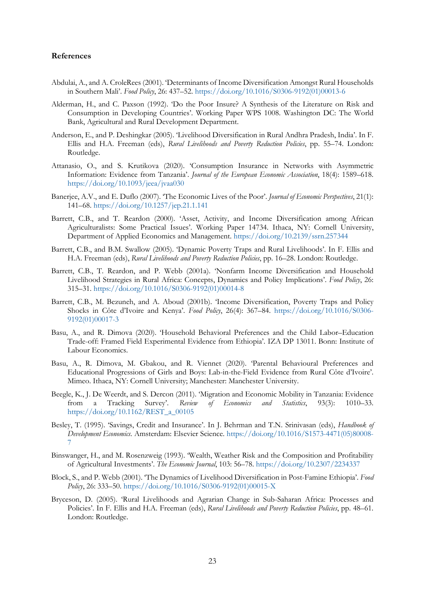#### **References**

- Abdulai, A., and A. CroleRees (2001). 'Determinants of Income Diversification Amongst Rural Households in Southern Mali'. *Food Policy*, 26: 437–52. [https://doi.org/10.1016/S0306-9192\(01\)00013-6](https://doi.org/10.1016/S0306-9192(01)00013-6)
- Alderman, H., and C. Paxson (1992). 'Do the Poor Insure? A Synthesis of the Literature on Risk and Consumption in Developing Countries'. Working Paper WPS 1008. Washington DC: The World Bank, Agricultural and Rural Development Department.
- Anderson, E., and P. Deshingkar (2005). 'Livelihood Diversification in Rural Andhra Pradesh, India'. In F. Ellis and H.A. Freeman (eds), *Rural Livelihoods and Poverty Reduction Policies*, pp. 55–74. London: Routledge.
- Attanasio, O., and S. Krutikova (2020). 'Consumption Insurance in Networks with Asymmetric Information: Evidence from Tanzania'. *Journal of the European Economic Association*, 18(4): 1589–618. <https://doi.org/10.1093/jeea/jvaa030>
- Banerjee, A.V., and E. Duflo (2007). 'The Economic Lives of the Poor'. *Journal of Economic Perspectives*, 21(1): 141–68.<https://doi.org/10.1257/jep.21.1.141>
- Barrett, C.B., and T. Reardon (2000). 'Asset, Activity, and Income Diversification among African Agriculturalists: Some Practical Issues'. Working Paper 14734. Ithaca, NY: Cornell University, Department of Applied Economics and Management.<https://doi.org/10.2139/ssrn.257344>
- Barrett, C.B., and B.M. Swallow (2005). 'Dynamic Poverty Traps and Rural Livelihoods'. In F. Ellis and H.A. Freeman (eds), *Rural Livelihoods and Poverty Reduction Policies*, pp. 16–28. London: Routledge.
- Barrett, C.B., T. Reardon, and P. Webb (2001a). 'Nonfarm Income Diversification and Household Livelihood Strategies in Rural Africa: Concepts, Dynamics and Policy Implications'. *Food Policy*, 26: 315–31. [https://doi.org/10.1016/S0306-9192\(01\)00014-8](https://doi.org/10.1016/S0306-9192(01)00014-8)
- Barrett, C.B., M. Bezuneh, and A. Aboud (2001b). 'Income Diversification, Poverty Traps and Policy Shocks in Côte d'Ivoire and Kenya'. *Food Policy*, 26(4): 367–84. [https://doi.org/10.1016/S0306-](https://doi.org/10.1016/S0306-9192(01)00017-3) [9192\(01\)00017-3](https://doi.org/10.1016/S0306-9192(01)00017-3)
- Basu, A., and R. Dimova (2020). 'Household Behavioral Preferences and the Child Labor–Education Trade-off: Framed Field Experimental Evidence from Ethiopia'. IZA DP 13011. Bonn: Institute of Labour Economics.
- Basu, A., R. Dimova, M. Gbakou, and R. Viennet (2020). 'Parental Behavioural Preferences and Educational Progressions of Girls and Boys: Lab-in-the-Field Evidence from Rural Côte d'Ivoire'. Mimeo. Ithaca, NY: Cornell University; Manchester: Manchester University.
- Beegle, K., J. De Weerdt, and S. Dercon (2011). 'Migration and Economic Mobility in Tanzania: Evidence from a Tracking Survey'. *Review of Economics and Statistics*, 93(3): 1010–33. [https://doi.org/10.1162/REST\\_a\\_00105](https://doi.org/10.1162/REST_a_00105)
- Besley, T. (1995). 'Savings, Credit and Insurance'. In J. Behrman and T.N. Srinivasan (eds), *Handbook of Development Economics*. Amsterdam: Elsevier Science. [https://doi.org/10.1016/S1573-4471\(05\)80008-](https://doi.org/10.1016/S1573-4471(05)80008-7) [7](https://doi.org/10.1016/S1573-4471(05)80008-7)
- Binswanger, H., and M. Rosenzweig (1993). 'Wealth, Weather Risk and the Composition and Profitability of Agricultural Investments'. *The Economic Journal*, 103: 56–78.<https://doi.org/10.2307/2234337>
- Block, S., and P. Webb (2001). 'The Dynamics of Livelihood Diversification in Post-Famine Ethiopia'. *Food Policy*, 26: 333–50. [https://doi.org/10.1016/S0306-9192\(01\)00015-X](https://doi.org/10.1016/S0306-9192(01)00015-X)
- Bryceson, D. (2005). 'Rural Livelihoods and Agrarian Change in Sub-Saharan Africa: Processes and Policies'. In F. Ellis and H.A. Freeman (eds), *Rural Livelihoods and Poverty Reduction Policies*, pp. 48–61. London: Routledge.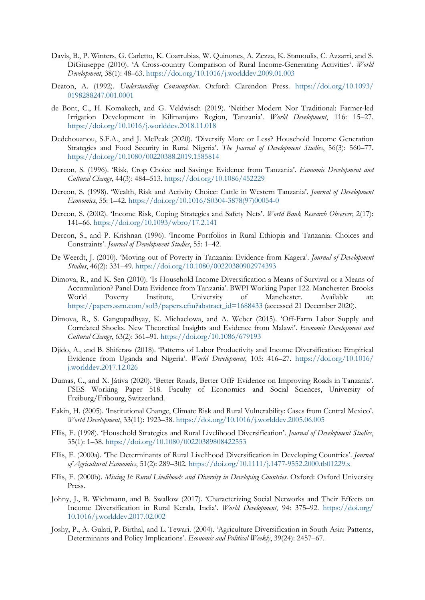- Davis, B., P. Winters, G. Carletto, K. Coarrubias, W. Quinones, A. Zezza, K. Stamoulis, C. Azzarri, and S. DiGiuseppe (2010). 'A Cross-country Comparison of Rural Income-Generating Activities'. *World Development*, 38(1): 48–63[. https://doi.org/10.1016/j.worlddev.2009.01.003](https://doi.org/10.1016/j.worlddev.2009.01.003)
- Deaton, A. (1992). *Understanding Consumption*. Oxford: Clarendon Press. [https://doi.org/10.1093/](https://doi.org/10.1093/0198288247.001.0001) [0198288247.001.0001](https://doi.org/10.1093/0198288247.001.0001)
- de Bont, C., H. Komakech, and G. Veldwisch (2019). 'Neither Modern Nor Traditional: Farmer-led Irrigation Development in Kilimanjaro Region, Tanzania'. *World Development*, 116: 15–27. <https://doi.org/10.1016/j.worlddev.2018.11.018>
- Dedehouanou, S.F.A., and J. McPeak (2020). 'Diversify More or Less? Household Income Generation Strategies and Food Security in Rural Nigeria'. *The Journal of Development Studies*, 56(3): 560–77. <https://doi.org/10.1080/00220388.2019.1585814>
- Dercon, S. (1996). 'Risk, Crop Choice and Savings: Evidence from Tanzania'. *Economic Development and Cultural Change*, 44(3): 484–513. <https://doi.org/10.1086/452229>
- Dercon, S. (1998). 'Wealth, Risk and Activity Choice: Cattle in Western Tanzania'. *Journal of Development Economics*, 55: 1–42. [https://doi.org/10.1016/S0304-3878\(97\)00054-0](https://doi.org/10.1016/S0304-3878(97)00054-0)
- Dercon, S. (2002). 'Income Risk, Coping Strategies and Safety Nets'. *World Bank Research Observer*, 2(17): 141–66.<https://doi.org/10.1093/wbro/17.2.141>
- Dercon, S., and P. Krishnan (1996). 'Income Portfolios in Rural Ethiopia and Tanzania: Choices and Constraints'. *Journal of Development Studies*, 55: 1–42.
- De Weerdt, J. (2010). 'Moving out of Poverty in Tanzania: Evidence from Kagera'. *Journal of Development Studies*, 46(2): 331–49[. https://doi.org/10.1080/00220380902974393](https://doi.org/10.1080/00220380902974393)
- Dimova, R., and K. Sen (2010). 'Is Household Income Diversification a Means of Survival or a Means of Accumulation? Panel Data Evidence from Tanzania'. BWPI Working Paper 122. Manchester: Brooks World Poverty Institute, University of Manchester. Available at: [https://papers.ssrn.com/sol3/papers.cfm?abstract\\_id=1688433](https://papers.ssrn.com/sol3/papers.cfm?abstract_id=1688433) (accessed 21 December 2020).
- Dimova, R., S. Gangopadhyay, K. Michaelowa, and A. Weber (2015). 'Off-Farm Labor Supply and Correlated Shocks. New Theoretical Insights and Evidence from Malawi'. *Economic Development and Cultural Change*, 63(2): 361–91.<https://doi.org/10.1086/679193>
- Djido, A., and B. Shiferaw (2018). 'Patterns of Labor Productivity and Income Diversification: Empirical Evidence from Uganda and Nigeria'. *World Development*, 105: 416–27. [https://doi.org/10.1016/](https://doi.org/10.1016/j.worlddev.2017.12.026) [j.worlddev.2017.12.026](https://doi.org/10.1016/j.worlddev.2017.12.026)
- Dumas, C., and X. Játiva (2020). ['Better Roads, Better Off? Evidence on Improving Roads in Tanzania'.](https://ideas.repec.org/p/fri/fribow/fribow00518.html) [FSES Working Paper](https://ideas.repec.org/s/fri/fribow.html) 518. Faculty of Economics and Social Sciences, University of Freiburg/Fribourg, Switzerland.
- Eakin, H. (2005). 'Institutional Change, Climate Risk and Rural Vulnerability: Cases from Central Mexico'. *World Development*, 33(11): 1923–38.<https://doi.org/10.1016/j.worlddev.2005.06.005>
- Ellis, F. (1998). 'Household Strategies and Rural Livelihood Diversification'. *Journal of Development Studies*, 35(1): 1–38.<https://doi.org/10.1080/00220389808422553>
- Ellis, F. (2000a). 'The Determinants of Rural Livelihood Diversification in Developing Countries'. *Journal of Agricultural Economics*, 51(2): 289–302.<https://doi.org/10.1111/j.1477-9552.2000.tb01229.x>
- Ellis, F. (2000b). *Mixing It: Rural Livelihoods and Diversity in Developing Countries*. Oxford: Oxford University Press.
- Johny, J., B. Wichmann, and B. Swallow (2017). 'Characterizing Social Networks and Their Effects on Income Diversification in Rural Kerala, India'. *World Development*, 94: 375–92. [https://doi.org/](https://doi.org/10.1016/j.worlddev.2017.02.002) [10.1016/j.worlddev.2017.02.002](https://doi.org/10.1016/j.worlddev.2017.02.002)
- Joshy, P., A. Gulati, P. Birthal, and L. Tewari. (2004). 'Agriculture Diversification in South Asia: Patterns, Determinants and Policy Implications'. *Economic and Political Weekly*, 39(24): 2457–67.